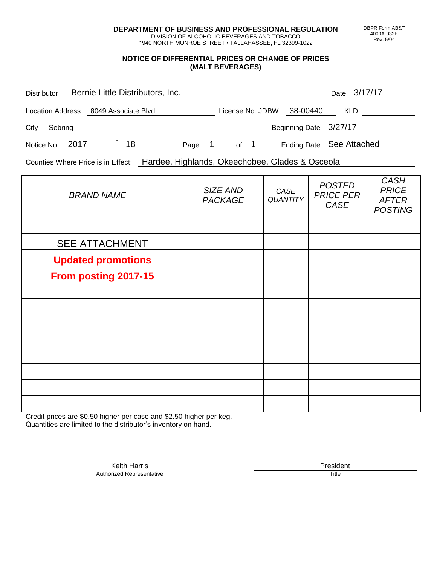**DEPARTMENT OF BUSINESS AND PROFESSIONAL REGULATION** DIVISION OF ALCOHOLIC BEVERAGES AND TOBACCO

1940 NORTH MONROE STREET • TALLAHASSEE, FL 32399-1022

#### **NOTICE OF DIFFERENTIAL PRICES OR CHANGE OF PRICES (MALT BEVERAGES)**

| <b>Distributor</b> |  | Bernie Little Distributors, Inc. |        |                  |  |                          | Date 3/17/17 |  |
|--------------------|--|----------------------------------|--------|------------------|--|--------------------------|--------------|--|
| Location Address   |  | 8049 Associate Blvd              |        | License No. JDBW |  | 38-00440                 | <b>KLD</b>   |  |
| City<br>Sebring    |  |                                  |        |                  |  | Beginning Date 3/27/17   |              |  |
| Notice No. 2017    |  | 18                               | Page 1 | of 1             |  | Ending Date See Attached |              |  |

Counties Where Price is in Effect: Hardee, Highlands, Okeechobee, Glades & Osceola

| <b>BRAND NAME</b>         | SIZE AND<br><b>PACKAGE</b> | CASE<br>QUANTITY | <b>POSTED</b><br><b>PRICE PER</b><br>CASE | <b>CASH</b><br><b>PRICE</b><br><b>AFTER</b><br><b>POSTING</b> |
|---------------------------|----------------------------|------------------|-------------------------------------------|---------------------------------------------------------------|
|                           |                            |                  |                                           |                                                               |
| <b>SEE ATTACHMENT</b>     |                            |                  |                                           |                                                               |
| <b>Updated promotions</b> |                            |                  |                                           |                                                               |
| From posting 2017-15      |                            |                  |                                           |                                                               |
|                           |                            |                  |                                           |                                                               |
|                           |                            |                  |                                           |                                                               |
|                           |                            |                  |                                           |                                                               |
|                           |                            |                  |                                           |                                                               |
|                           |                            |                  |                                           |                                                               |
|                           |                            |                  |                                           |                                                               |
|                           |                            |                  |                                           |                                                               |
|                           |                            |                  |                                           |                                                               |

Credit prices are \$0.50 higher per case and \$2.50 higher per keg. Quantities are limited to the distributor's inventory on hand.

> Keith Harris **President**<br> **President**<br>
> Prized Representative **President Authorized Representative**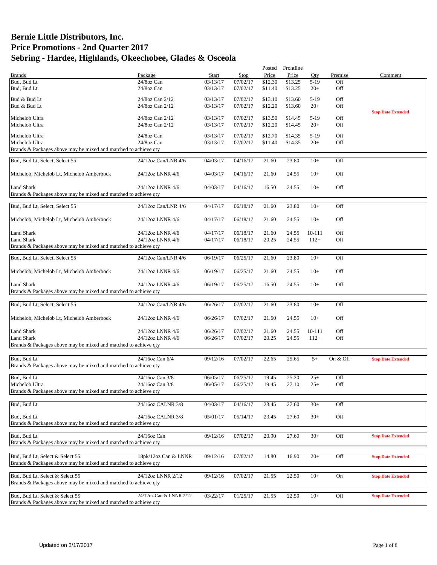|                                                                 |                         |          |          | Posted  | Frontline |        |          |                           |
|-----------------------------------------------------------------|-------------------------|----------|----------|---------|-----------|--------|----------|---------------------------|
| <b>Brands</b>                                                   | Package                 | Start    | Stop     | Price   | Price     | Otv.   | Premise  | Comment                   |
| Bud, Bud Lt                                                     | 24/8oz Can              | 03/13/17 | 07/02/17 | \$12.30 | \$13.25   | $5-19$ | Off      |                           |
| Bud, Bud Lt                                                     | 24/8oz Can              | 03/13/17 | 07/02/17 | \$11.40 | \$13.25   | $20+$  | Off      |                           |
| Bud & Bud Lt                                                    | 24/8oz Can 2/12         | 03/13/17 | 07/02/17 | \$13.10 | \$13.60   | $5-19$ | Off      |                           |
| Bud & Bud Lt                                                    | 24/8oz Can 2/12         | 03/13/17 | 07/02/17 | \$12.20 | \$13.60   | $20+$  | Off      |                           |
|                                                                 |                         |          |          |         |           |        |          | <b>Stop Date Extended</b> |
| Michelob Ultra                                                  | 24/8oz Can 2/12         | 03/13/17 | 07/02/17 | \$13.50 | \$14.45   | $5-19$ | Off      |                           |
| Michelob Ultra                                                  | 24/8oz Can 2/12         | 03/13/17 | 07/02/17 | \$12.20 | \$14.45   | $20+$  | Off      |                           |
|                                                                 |                         |          |          |         |           |        |          |                           |
| Michelob Ultra                                                  | 24/8oz Can              | 03/13/17 | 07/02/17 | \$12.70 | \$14.35   | $5-19$ | Off      |                           |
| Michelob Ultra                                                  | 24/8oz Can              | 03/13/17 | 07/02/17 | \$11.40 | \$14.35   | $20+$  | Off      |                           |
| Brands & Packages above may be mixed and matched to achieve qty |                         |          |          |         |           |        |          |                           |
| Bud, Bud Lt, Select, Select 55                                  | 24/12oz Can/LNR 4/6     | 04/03/17 | 04/16/17 | 21.60   | 23.80     | $10+$  | Off      |                           |
|                                                                 |                         |          |          |         |           |        |          |                           |
| Michelob, Michelob Lt, Michelob Amberbock                       | 24/12oz LNNR 4/6        | 04/03/17 | 04/16/17 | 21.60   | 24.55     | $10+$  | Off      |                           |
|                                                                 |                         |          |          |         |           |        |          |                           |
| Land Shark                                                      | 24/12oz LNNR 4/6        | 04/03/17 | 04/16/17 | 16.50   | 24.55     | $10+$  | Off      |                           |
| Brands & Packages above may be mixed and matched to achieve qty |                         |          |          |         |           |        |          |                           |
|                                                                 |                         |          |          |         |           |        |          |                           |
| Bud, Bud Lt, Select, Select 55                                  | 24/12oz Can/LNR 4/6     | 04/17/17 | 06/18/17 | 21.60   | 23.80     | $10+$  | Off      |                           |
|                                                                 |                         |          |          |         |           |        |          |                           |
| Michelob, Michelob Lt, Michelob Amberbock                       | 24/12oz LNNR 4/6        | 04/17/17 | 06/18/17 | 21.60   | 24.55     | $10+$  | Off      |                           |
|                                                                 |                         |          |          |         |           |        |          |                           |
| Land Shark                                                      | 24/12oz LNNR 4/6        | 04/17/17 | 06/18/17 | 21.60   | 24.55     | 10-111 | Off      |                           |
| <b>Land Shark</b>                                               | 24/12oz LNNR 4/6        | 04/17/17 | 06/18/17 | 20.25   | 24.55     | $112+$ | Off      |                           |
| Brands & Packages above may be mixed and matched to achieve qty |                         |          |          |         |           |        |          |                           |
|                                                                 |                         |          |          |         |           |        |          |                           |
| Bud, Bud Lt, Select, Select 55                                  | 24/12oz Can/LNR 4/6     | 06/19/17 | 06/25/17 | 21.60   | 23.80     | $10+$  | Off      |                           |
|                                                                 |                         |          |          |         |           |        |          |                           |
| Michelob, Michelob Lt, Michelob Amberbock                       | 24/12oz LNNR 4/6        | 06/19/17 | 06/25/17 | 21.60   | 24.55     | $10+$  | Off      |                           |
|                                                                 |                         |          |          |         |           |        |          |                           |
| <b>Land Shark</b>                                               | 24/12oz LNNR 4/6        | 06/19/17 | 06/25/17 | 16.50   | 24.55     | $10+$  | Off      |                           |
| Brands & Packages above may be mixed and matched to achieve qty |                         |          |          |         |           |        |          |                           |
|                                                                 |                         |          |          |         |           |        |          |                           |
| Bud, Bud Lt, Select, Select 55                                  | 24/12oz Can/LNR 4/6     | 06/26/17 | 07/02/17 | 21.60   | 23.80     | $10+$  | Off      |                           |
|                                                                 |                         |          |          |         |           |        |          |                           |
| Michelob, Michelob Lt, Michelob Amberbock                       | 24/12oz LNNR 4/6        | 06/26/17 | 07/02/17 | 21.60   | 24.55     | $10+$  | Off      |                           |
|                                                                 |                         |          |          |         |           |        |          |                           |
| Land Shark                                                      | 24/12oz LNNR 4/6        | 06/26/17 | 07/02/17 | 21.60   | 24.55     | 10-111 | Off      |                           |
| <b>Land Shark</b>                                               | 24/12oz LNNR 4/6        | 06/26/17 | 07/02/17 | 20.25   | 24.55     | $112+$ | Off      |                           |
| Brands & Packages above may be mixed and matched to achieve qty |                         |          |          |         |           |        |          |                           |
|                                                                 |                         |          |          |         |           |        |          |                           |
| Bud, Bud Lt                                                     | 24/16oz Can 6/4         | 09/12/16 | 07/02/17 | 22.65   | 25.65     | $5+$   | On & Off | <b>Stop Date Extended</b> |
| Brands & Packages above may be mixed and matched to achieve qty |                         |          |          |         |           |        |          |                           |
|                                                                 |                         |          |          |         |           |        |          |                           |
| Bud, Bud Lt                                                     | 24/16oz Can 3/8         | 06/05/17 | 06/25/17 | 19.45   | 25.20     | $25+$  | Off      |                           |
| Michelob Ultra                                                  | 24/16oz Can 3/8         | 06/05/17 | 06/25/17 | 19.45   | 27.10     | $25+$  | Off      |                           |
| Brands & Packages above may be mixed and matched to achieve qty |                         |          |          |         |           |        |          |                           |
|                                                                 |                         |          |          |         |           |        |          |                           |
| Bud, Bud Lt                                                     | 24/16oz CALNR 3/8       | 04/03/17 | 04/16/17 | 23.45   | 27.60     | $30+$  | Off      |                           |
| Bud, Bud Lt                                                     | 24/16oz CALNR 3/8       |          |          |         |           | $30+$  | Off      |                           |
| Brands & Packages above may be mixed and matched to achieve qty |                         | 05/01/17 | 05/14/17 | 23.45   | 27.60     |        |          |                           |
|                                                                 |                         |          |          |         |           |        |          |                           |
| Bud, Bud Lt                                                     | 24/16oz Can             | 09/12/16 | 07/02/17 | 20.90   | 27.60     | $30+$  | Off      | <b>Stop Date Extended</b> |
| Brands & Packages above may be mixed and matched to achieve qty |                         |          |          |         |           |        |          |                           |
|                                                                 |                         |          |          |         |           |        |          |                           |
| Bud, Bud Lt, Select & Select 55                                 | 18pk/12oz Can & LNNR    | 09/12/16 | 07/02/17 | 14.80   | 16.90     | $20+$  | Off      | <b>Stop Date Extended</b> |
| Brands & Packages above may be mixed and matched to achieve qty |                         |          |          |         |           |        |          |                           |
|                                                                 |                         |          |          |         |           |        |          |                           |
| Bud, Bud Lt, Select & Select 55                                 | 24/12oz LNNR 2/12       | 09/12/16 | 07/02/17 | 21.55   | 22.50     | $10+$  | On       | <b>Stop Date Extended</b> |
| Brands & Packages above may be mixed and matched to achieve qty |                         |          |          |         |           |        |          |                           |
|                                                                 |                         |          |          |         |           |        |          |                           |
| Bud, Bud Lt, Select & Select 55                                 | 24/12oz Can & LNNR 2/12 | 03/22/17 | 01/25/17 | 21.55   | 22.50     | $10+$  | Off      | <b>Stop Date Extended</b> |
| Brands & Packages above may be mixed and matched to achieve qty |                         |          |          |         |           |        |          |                           |
|                                                                 |                         |          |          |         |           |        |          |                           |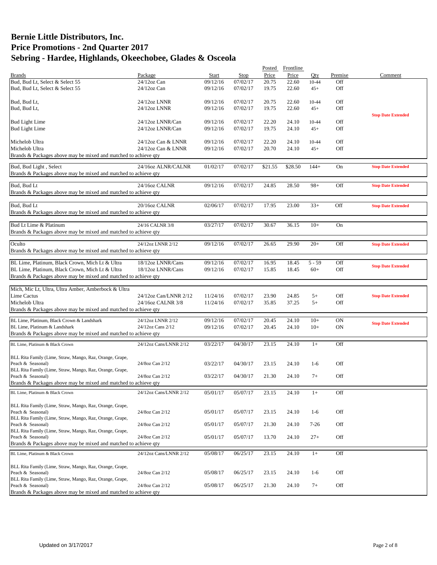| Package<br>Start<br>Price<br>Price<br>Comment<br><b>Brands</b><br>Stop<br>Oty.<br>Premise<br>07/02/17<br>Bud, Bud Lt, Select & Select 55<br>$24/12$ oz Can<br>09/12/16<br>22.60<br>Off<br>20.75<br>10-44<br>Off<br>Bud, Bud Lt, Select & Select 55<br>$24/12$ oz Can<br>09/12/16<br>07/02/17<br>19.75<br>22.60<br>$45+$<br>Bud, Bud Lt,<br>24/12oz LNNR<br>07/02/17<br>20.75<br>22.60<br>Off<br>09/12/16<br>10-44<br>07/02/17<br>22.60<br>Off<br>Bud, Bud Lt,<br>24/12oz LNNR<br>09/12/16<br>19.75<br>$45+$<br><b>Stop Date Extended</b><br>Off<br><b>Bud Light Lime</b><br>24/12oz LNNR/Can<br>09/12/16<br>07/02/17<br>22.20<br>24.10<br>$10 - 44$<br>07/02/17<br><b>Bud Light Lime</b><br>24/12oz LNNR/Can<br>09/12/16<br>19.75<br>24.10<br>$45+$<br>Off<br>09/12/16<br>07/02/17<br>Off<br>Michelob Ultra<br>24/12oz Can & LNNR<br>22.20<br>24.10<br>10-44<br>Michelob Ultra<br>Off<br>24/12oz Can & LNNR<br>09/12/16<br>07/02/17<br>20.70<br>24.10<br>$45+$<br>Brands & Packages above may be mixed and matched to achieve qty<br>Bud, Bud Light, Select<br>24/16oz ALNR/CALNR<br>01/02/17<br>07/02/17<br>\$21.55<br>\$28.50<br>$144+$<br>On<br><b>Stop Date Extended</b><br>Brands & Packages above may be mixed and matched to achieve qty<br>Bud, Bud Lt<br>24/16oz CALNR<br>07/02/17<br>09/12/16<br>24.85<br>28.50<br>$98+$<br>Off<br><b>Stop Date Extended</b><br>Brands & Packages above may be mixed and matched to achieve qty<br>Bud, Bud Lt<br>07/02/17<br>$33+$<br>20/16oz CALNR<br>02/06/17<br>17.95<br>23.00<br>Off<br><b>Stop Date Extended</b><br>Brands & Packages above may be mixed and matched to achieve qty<br>Bud Lt Lime & Platinum<br>07/02/17<br>30.67<br>$10+$<br>24/16 CALNR 3/8<br>03/27/17<br>36.15<br><b>On</b><br>Brands & Packages above may be mixed and matched to achieve qty<br>Oculto<br>07/02/17<br>$20+$<br>24/12oz LNNR 2/12<br>09/12/16<br>26.65<br>29.90<br>Off<br><b>Stop Date Extended</b><br>Brands & Packages above may be mixed and matched to achieve qty<br>BL Lime, Platinum, Black Crown, Mich Lt & Ultra<br>18/12oz LNNR/Cans<br>07/02/17<br>$5 - 59$<br>Off<br>09/12/16<br>16.95<br>18.45<br><b>Stop Date Extended</b><br>BL Lime, Platinum, Black Crown, Mich Lt & Ultra<br>09/12/16<br>07/02/17<br>18.45<br>$60+$<br>Off<br>18/12oz LNNR/Cans<br>15.85<br>Brands & Packages above may be mixed and matched to achieve qty<br>Mich, Mic Lt, Ultra, Ultra Amber, Amberbock & Ultra<br>Lime Cactus<br>24/12oz Can/LNNR 2/12<br>07/02/17<br>Off<br>11/24/16<br>23.90<br>24.85<br>$5+$<br><b>Stop Date Extended</b><br>Michelob Ultra<br>$5+$<br>Off<br>24/16oz CALNR 3/8<br>11/24/16<br>07/02/17<br>35.85<br>37.25<br>Brands & Packages above may be mixed and matched to achieve qty<br>BL Lime, Platinum, Black Crown & Landshark<br>09/12/16<br>07/02/17<br>20.45<br>24.10<br>$10+$<br>ON<br>24/12oz LNNR 2/12<br><b>Stop Date Extended</b><br>09/12/16<br>07/02/17<br>$10+$<br>ON<br>BL Lime, Platinum & Landshark<br>24/12oz Cans 2/12<br>20.45<br>24.10<br>Brands & Packages above may be mixed and matched to achieve qty<br>Off<br>04/30/17<br>23.15<br>24.10<br>$1+$<br>BL Lime, Platinum & Black Crown<br>24/12oz Cans/LNNR 2/12<br>03/22/17<br>BLL Rita Family (Lime, Straw, Mango, Raz, Orange, Grape,<br>Peach & Seasonal)<br>03/22/17<br>04/30/17<br>23.15<br>Off<br>24/8oz Can 2/12<br>24.10<br>$1-6$<br>BLL Rita Family (Lime, Straw, Mango, Raz, Orange, Grape,<br>Off<br>Peach & Seasonal)<br>03/22/17<br>04/30/17<br>21.30<br>$7+$<br>24/8oz Can 2/12<br>24.10<br>Brands & Packages above may be mixed and matched to achieve qty<br>BL Lime, Platinum & Black Crown<br>05/01/17<br>05/07/17<br>23.15<br>24.10<br>Off<br>24/12oz Cans/LNNR 2/12<br>$1+$<br>BLL Rita Family (Lime, Straw, Mango, Raz, Orange, Grape,<br>Off<br>Peach & Seasonal)<br>24/8oz Can 2/12<br>05/01/17<br>05/07/17<br>23.15<br>24.10<br>$1-6$<br>BLL Rita Family (Lime, Straw, Mango, Raz, Orange, Grape,<br>Peach & Seasonal)<br>24/8oz Can 2/12<br>05/01/17<br>05/07/17<br>24.10<br>Off<br>21.30<br>$7-26$<br>BLL Rita Family (Lime, Straw, Mango, Raz, Orange, Grape,<br>Peach & Seasonal)<br>24/8oz Can 2/12<br>05/01/17<br>Off<br>05/07/17<br>13.70<br>24.10<br>$27+$<br>Brands & Packages above may be mixed and matched to achieve qty<br>23.15<br>24.10<br>Off<br>BL Lime, Platinum & Black Crown<br>05/08/17<br>06/25/17<br>$1+$<br>24/12oz Cans/LNNR 2/12<br>BLL Rita Family (Lime, Straw, Mango, Raz, Orange, Grape,<br>Off<br>Peach & Seasonal)<br>24/8oz Can 2/12<br>05/08/17<br>06/25/17<br>23.15<br>24.10<br>$1-6$<br>BLL Rita Family (Lime, Straw, Mango, Raz, Orange, Grape,<br>Peach & Seasonal)<br>Off<br>24/8oz Can 2/12<br>05/08/17<br>06/25/17<br>$7+$<br>21.30<br>24.10<br>Brands & Packages above may be mixed and matched to achieve qty |  |  | Posted | Frontline |  |  |
|--------------------------------------------------------------------------------------------------------------------------------------------------------------------------------------------------------------------------------------------------------------------------------------------------------------------------------------------------------------------------------------------------------------------------------------------------------------------------------------------------------------------------------------------------------------------------------------------------------------------------------------------------------------------------------------------------------------------------------------------------------------------------------------------------------------------------------------------------------------------------------------------------------------------------------------------------------------------------------------------------------------------------------------------------------------------------------------------------------------------------------------------------------------------------------------------------------------------------------------------------------------------------------------------------------------------------------------------------------------------------------------------------------------------------------------------------------------------------------------------------------------------------------------------------------------------------------------------------------------------------------------------------------------------------------------------------------------------------------------------------------------------------------------------------------------------------------------------------------------------------------------------------------------------------------------------------------------------------------------------------------------------------------------------------------------------------------------------------------------------------------------------------------------------------------------------------------------------------------------------------------------------------------------------------------------------------------------------------------------------------------------------------------------------------------------------------------------------------------------------------------------------------------------------------------------------------------------------------------------------------------------------------------------------------------------------------------------------------------------------------------------------------------------------------------------------------------------------------------------------------------------------------------------------------------------------------------------------------------------------------------------------------------------------------------------------------------------------------------------------------------------------------------------------------------------------------------------------------------------------------------------------------------------------------------------------------------------------------------------------------------------------------------------------------------------------------------------------------------------------------------------------------------------------------------------------------------------------------------------------------------------------------------------------------------------------------------------------------------------------------------------------------------------------------------------------------------------------------------------------------------------------------------------------------------------------------------------------------------------------------------------------------------------------------------------------------------------------------------------------------------------------------------------------------------------------------------------------------------------------------------------------------------------------------------------------------------------------------------------------------------------------------------------------------------------------------------------------------------------------------------------------------------------------------------------------------------------------------------------------------------------------------------------------------------------------------------------------------------------------------------------------------------------------------------------------|--|--|--------|-----------|--|--|
|                                                                                                                                                                                                                                                                                                                                                                                                                                                                                                                                                                                                                                                                                                                                                                                                                                                                                                                                                                                                                                                                                                                                                                                                                                                                                                                                                                                                                                                                                                                                                                                                                                                                                                                                                                                                                                                                                                                                                                                                                                                                                                                                                                                                                                                                                                                                                                                                                                                                                                                                                                                                                                                                                                                                                                                                                                                                                                                                                                                                                                                                                                                                                                                                                                                                                                                                                                                                                                                                                                                                                                                                                                                                                                                                                                                                                                                                                                                                                                                                                                                                                                                                                                                                                                                                                                                                                                                                                                                                                                                                                                                                                                                                                                                                                                                                                    |  |  |        |           |  |  |
|                                                                                                                                                                                                                                                                                                                                                                                                                                                                                                                                                                                                                                                                                                                                                                                                                                                                                                                                                                                                                                                                                                                                                                                                                                                                                                                                                                                                                                                                                                                                                                                                                                                                                                                                                                                                                                                                                                                                                                                                                                                                                                                                                                                                                                                                                                                                                                                                                                                                                                                                                                                                                                                                                                                                                                                                                                                                                                                                                                                                                                                                                                                                                                                                                                                                                                                                                                                                                                                                                                                                                                                                                                                                                                                                                                                                                                                                                                                                                                                                                                                                                                                                                                                                                                                                                                                                                                                                                                                                                                                                                                                                                                                                                                                                                                                                                    |  |  |        |           |  |  |
|                                                                                                                                                                                                                                                                                                                                                                                                                                                                                                                                                                                                                                                                                                                                                                                                                                                                                                                                                                                                                                                                                                                                                                                                                                                                                                                                                                                                                                                                                                                                                                                                                                                                                                                                                                                                                                                                                                                                                                                                                                                                                                                                                                                                                                                                                                                                                                                                                                                                                                                                                                                                                                                                                                                                                                                                                                                                                                                                                                                                                                                                                                                                                                                                                                                                                                                                                                                                                                                                                                                                                                                                                                                                                                                                                                                                                                                                                                                                                                                                                                                                                                                                                                                                                                                                                                                                                                                                                                                                                                                                                                                                                                                                                                                                                                                                                    |  |  |        |           |  |  |
|                                                                                                                                                                                                                                                                                                                                                                                                                                                                                                                                                                                                                                                                                                                                                                                                                                                                                                                                                                                                                                                                                                                                                                                                                                                                                                                                                                                                                                                                                                                                                                                                                                                                                                                                                                                                                                                                                                                                                                                                                                                                                                                                                                                                                                                                                                                                                                                                                                                                                                                                                                                                                                                                                                                                                                                                                                                                                                                                                                                                                                                                                                                                                                                                                                                                                                                                                                                                                                                                                                                                                                                                                                                                                                                                                                                                                                                                                                                                                                                                                                                                                                                                                                                                                                                                                                                                                                                                                                                                                                                                                                                                                                                                                                                                                                                                                    |  |  |        |           |  |  |
|                                                                                                                                                                                                                                                                                                                                                                                                                                                                                                                                                                                                                                                                                                                                                                                                                                                                                                                                                                                                                                                                                                                                                                                                                                                                                                                                                                                                                                                                                                                                                                                                                                                                                                                                                                                                                                                                                                                                                                                                                                                                                                                                                                                                                                                                                                                                                                                                                                                                                                                                                                                                                                                                                                                                                                                                                                                                                                                                                                                                                                                                                                                                                                                                                                                                                                                                                                                                                                                                                                                                                                                                                                                                                                                                                                                                                                                                                                                                                                                                                                                                                                                                                                                                                                                                                                                                                                                                                                                                                                                                                                                                                                                                                                                                                                                                                    |  |  |        |           |  |  |
|                                                                                                                                                                                                                                                                                                                                                                                                                                                                                                                                                                                                                                                                                                                                                                                                                                                                                                                                                                                                                                                                                                                                                                                                                                                                                                                                                                                                                                                                                                                                                                                                                                                                                                                                                                                                                                                                                                                                                                                                                                                                                                                                                                                                                                                                                                                                                                                                                                                                                                                                                                                                                                                                                                                                                                                                                                                                                                                                                                                                                                                                                                                                                                                                                                                                                                                                                                                                                                                                                                                                                                                                                                                                                                                                                                                                                                                                                                                                                                                                                                                                                                                                                                                                                                                                                                                                                                                                                                                                                                                                                                                                                                                                                                                                                                                                                    |  |  |        |           |  |  |
|                                                                                                                                                                                                                                                                                                                                                                                                                                                                                                                                                                                                                                                                                                                                                                                                                                                                                                                                                                                                                                                                                                                                                                                                                                                                                                                                                                                                                                                                                                                                                                                                                                                                                                                                                                                                                                                                                                                                                                                                                                                                                                                                                                                                                                                                                                                                                                                                                                                                                                                                                                                                                                                                                                                                                                                                                                                                                                                                                                                                                                                                                                                                                                                                                                                                                                                                                                                                                                                                                                                                                                                                                                                                                                                                                                                                                                                                                                                                                                                                                                                                                                                                                                                                                                                                                                                                                                                                                                                                                                                                                                                                                                                                                                                                                                                                                    |  |  |        |           |  |  |
|                                                                                                                                                                                                                                                                                                                                                                                                                                                                                                                                                                                                                                                                                                                                                                                                                                                                                                                                                                                                                                                                                                                                                                                                                                                                                                                                                                                                                                                                                                                                                                                                                                                                                                                                                                                                                                                                                                                                                                                                                                                                                                                                                                                                                                                                                                                                                                                                                                                                                                                                                                                                                                                                                                                                                                                                                                                                                                                                                                                                                                                                                                                                                                                                                                                                                                                                                                                                                                                                                                                                                                                                                                                                                                                                                                                                                                                                                                                                                                                                                                                                                                                                                                                                                                                                                                                                                                                                                                                                                                                                                                                                                                                                                                                                                                                                                    |  |  |        |           |  |  |
|                                                                                                                                                                                                                                                                                                                                                                                                                                                                                                                                                                                                                                                                                                                                                                                                                                                                                                                                                                                                                                                                                                                                                                                                                                                                                                                                                                                                                                                                                                                                                                                                                                                                                                                                                                                                                                                                                                                                                                                                                                                                                                                                                                                                                                                                                                                                                                                                                                                                                                                                                                                                                                                                                                                                                                                                                                                                                                                                                                                                                                                                                                                                                                                                                                                                                                                                                                                                                                                                                                                                                                                                                                                                                                                                                                                                                                                                                                                                                                                                                                                                                                                                                                                                                                                                                                                                                                                                                                                                                                                                                                                                                                                                                                                                                                                                                    |  |  |        |           |  |  |
|                                                                                                                                                                                                                                                                                                                                                                                                                                                                                                                                                                                                                                                                                                                                                                                                                                                                                                                                                                                                                                                                                                                                                                                                                                                                                                                                                                                                                                                                                                                                                                                                                                                                                                                                                                                                                                                                                                                                                                                                                                                                                                                                                                                                                                                                                                                                                                                                                                                                                                                                                                                                                                                                                                                                                                                                                                                                                                                                                                                                                                                                                                                                                                                                                                                                                                                                                                                                                                                                                                                                                                                                                                                                                                                                                                                                                                                                                                                                                                                                                                                                                                                                                                                                                                                                                                                                                                                                                                                                                                                                                                                                                                                                                                                                                                                                                    |  |  |        |           |  |  |
|                                                                                                                                                                                                                                                                                                                                                                                                                                                                                                                                                                                                                                                                                                                                                                                                                                                                                                                                                                                                                                                                                                                                                                                                                                                                                                                                                                                                                                                                                                                                                                                                                                                                                                                                                                                                                                                                                                                                                                                                                                                                                                                                                                                                                                                                                                                                                                                                                                                                                                                                                                                                                                                                                                                                                                                                                                                                                                                                                                                                                                                                                                                                                                                                                                                                                                                                                                                                                                                                                                                                                                                                                                                                                                                                                                                                                                                                                                                                                                                                                                                                                                                                                                                                                                                                                                                                                                                                                                                                                                                                                                                                                                                                                                                                                                                                                    |  |  |        |           |  |  |
|                                                                                                                                                                                                                                                                                                                                                                                                                                                                                                                                                                                                                                                                                                                                                                                                                                                                                                                                                                                                                                                                                                                                                                                                                                                                                                                                                                                                                                                                                                                                                                                                                                                                                                                                                                                                                                                                                                                                                                                                                                                                                                                                                                                                                                                                                                                                                                                                                                                                                                                                                                                                                                                                                                                                                                                                                                                                                                                                                                                                                                                                                                                                                                                                                                                                                                                                                                                                                                                                                                                                                                                                                                                                                                                                                                                                                                                                                                                                                                                                                                                                                                                                                                                                                                                                                                                                                                                                                                                                                                                                                                                                                                                                                                                                                                                                                    |  |  |        |           |  |  |
|                                                                                                                                                                                                                                                                                                                                                                                                                                                                                                                                                                                                                                                                                                                                                                                                                                                                                                                                                                                                                                                                                                                                                                                                                                                                                                                                                                                                                                                                                                                                                                                                                                                                                                                                                                                                                                                                                                                                                                                                                                                                                                                                                                                                                                                                                                                                                                                                                                                                                                                                                                                                                                                                                                                                                                                                                                                                                                                                                                                                                                                                                                                                                                                                                                                                                                                                                                                                                                                                                                                                                                                                                                                                                                                                                                                                                                                                                                                                                                                                                                                                                                                                                                                                                                                                                                                                                                                                                                                                                                                                                                                                                                                                                                                                                                                                                    |  |  |        |           |  |  |
|                                                                                                                                                                                                                                                                                                                                                                                                                                                                                                                                                                                                                                                                                                                                                                                                                                                                                                                                                                                                                                                                                                                                                                                                                                                                                                                                                                                                                                                                                                                                                                                                                                                                                                                                                                                                                                                                                                                                                                                                                                                                                                                                                                                                                                                                                                                                                                                                                                                                                                                                                                                                                                                                                                                                                                                                                                                                                                                                                                                                                                                                                                                                                                                                                                                                                                                                                                                                                                                                                                                                                                                                                                                                                                                                                                                                                                                                                                                                                                                                                                                                                                                                                                                                                                                                                                                                                                                                                                                                                                                                                                                                                                                                                                                                                                                                                    |  |  |        |           |  |  |
|                                                                                                                                                                                                                                                                                                                                                                                                                                                                                                                                                                                                                                                                                                                                                                                                                                                                                                                                                                                                                                                                                                                                                                                                                                                                                                                                                                                                                                                                                                                                                                                                                                                                                                                                                                                                                                                                                                                                                                                                                                                                                                                                                                                                                                                                                                                                                                                                                                                                                                                                                                                                                                                                                                                                                                                                                                                                                                                                                                                                                                                                                                                                                                                                                                                                                                                                                                                                                                                                                                                                                                                                                                                                                                                                                                                                                                                                                                                                                                                                                                                                                                                                                                                                                                                                                                                                                                                                                                                                                                                                                                                                                                                                                                                                                                                                                    |  |  |        |           |  |  |
|                                                                                                                                                                                                                                                                                                                                                                                                                                                                                                                                                                                                                                                                                                                                                                                                                                                                                                                                                                                                                                                                                                                                                                                                                                                                                                                                                                                                                                                                                                                                                                                                                                                                                                                                                                                                                                                                                                                                                                                                                                                                                                                                                                                                                                                                                                                                                                                                                                                                                                                                                                                                                                                                                                                                                                                                                                                                                                                                                                                                                                                                                                                                                                                                                                                                                                                                                                                                                                                                                                                                                                                                                                                                                                                                                                                                                                                                                                                                                                                                                                                                                                                                                                                                                                                                                                                                                                                                                                                                                                                                                                                                                                                                                                                                                                                                                    |  |  |        |           |  |  |
|                                                                                                                                                                                                                                                                                                                                                                                                                                                                                                                                                                                                                                                                                                                                                                                                                                                                                                                                                                                                                                                                                                                                                                                                                                                                                                                                                                                                                                                                                                                                                                                                                                                                                                                                                                                                                                                                                                                                                                                                                                                                                                                                                                                                                                                                                                                                                                                                                                                                                                                                                                                                                                                                                                                                                                                                                                                                                                                                                                                                                                                                                                                                                                                                                                                                                                                                                                                                                                                                                                                                                                                                                                                                                                                                                                                                                                                                                                                                                                                                                                                                                                                                                                                                                                                                                                                                                                                                                                                                                                                                                                                                                                                                                                                                                                                                                    |  |  |        |           |  |  |
|                                                                                                                                                                                                                                                                                                                                                                                                                                                                                                                                                                                                                                                                                                                                                                                                                                                                                                                                                                                                                                                                                                                                                                                                                                                                                                                                                                                                                                                                                                                                                                                                                                                                                                                                                                                                                                                                                                                                                                                                                                                                                                                                                                                                                                                                                                                                                                                                                                                                                                                                                                                                                                                                                                                                                                                                                                                                                                                                                                                                                                                                                                                                                                                                                                                                                                                                                                                                                                                                                                                                                                                                                                                                                                                                                                                                                                                                                                                                                                                                                                                                                                                                                                                                                                                                                                                                                                                                                                                                                                                                                                                                                                                                                                                                                                                                                    |  |  |        |           |  |  |
|                                                                                                                                                                                                                                                                                                                                                                                                                                                                                                                                                                                                                                                                                                                                                                                                                                                                                                                                                                                                                                                                                                                                                                                                                                                                                                                                                                                                                                                                                                                                                                                                                                                                                                                                                                                                                                                                                                                                                                                                                                                                                                                                                                                                                                                                                                                                                                                                                                                                                                                                                                                                                                                                                                                                                                                                                                                                                                                                                                                                                                                                                                                                                                                                                                                                                                                                                                                                                                                                                                                                                                                                                                                                                                                                                                                                                                                                                                                                                                                                                                                                                                                                                                                                                                                                                                                                                                                                                                                                                                                                                                                                                                                                                                                                                                                                                    |  |  |        |           |  |  |
|                                                                                                                                                                                                                                                                                                                                                                                                                                                                                                                                                                                                                                                                                                                                                                                                                                                                                                                                                                                                                                                                                                                                                                                                                                                                                                                                                                                                                                                                                                                                                                                                                                                                                                                                                                                                                                                                                                                                                                                                                                                                                                                                                                                                                                                                                                                                                                                                                                                                                                                                                                                                                                                                                                                                                                                                                                                                                                                                                                                                                                                                                                                                                                                                                                                                                                                                                                                                                                                                                                                                                                                                                                                                                                                                                                                                                                                                                                                                                                                                                                                                                                                                                                                                                                                                                                                                                                                                                                                                                                                                                                                                                                                                                                                                                                                                                    |  |  |        |           |  |  |
|                                                                                                                                                                                                                                                                                                                                                                                                                                                                                                                                                                                                                                                                                                                                                                                                                                                                                                                                                                                                                                                                                                                                                                                                                                                                                                                                                                                                                                                                                                                                                                                                                                                                                                                                                                                                                                                                                                                                                                                                                                                                                                                                                                                                                                                                                                                                                                                                                                                                                                                                                                                                                                                                                                                                                                                                                                                                                                                                                                                                                                                                                                                                                                                                                                                                                                                                                                                                                                                                                                                                                                                                                                                                                                                                                                                                                                                                                                                                                                                                                                                                                                                                                                                                                                                                                                                                                                                                                                                                                                                                                                                                                                                                                                                                                                                                                    |  |  |        |           |  |  |
|                                                                                                                                                                                                                                                                                                                                                                                                                                                                                                                                                                                                                                                                                                                                                                                                                                                                                                                                                                                                                                                                                                                                                                                                                                                                                                                                                                                                                                                                                                                                                                                                                                                                                                                                                                                                                                                                                                                                                                                                                                                                                                                                                                                                                                                                                                                                                                                                                                                                                                                                                                                                                                                                                                                                                                                                                                                                                                                                                                                                                                                                                                                                                                                                                                                                                                                                                                                                                                                                                                                                                                                                                                                                                                                                                                                                                                                                                                                                                                                                                                                                                                                                                                                                                                                                                                                                                                                                                                                                                                                                                                                                                                                                                                                                                                                                                    |  |  |        |           |  |  |
|                                                                                                                                                                                                                                                                                                                                                                                                                                                                                                                                                                                                                                                                                                                                                                                                                                                                                                                                                                                                                                                                                                                                                                                                                                                                                                                                                                                                                                                                                                                                                                                                                                                                                                                                                                                                                                                                                                                                                                                                                                                                                                                                                                                                                                                                                                                                                                                                                                                                                                                                                                                                                                                                                                                                                                                                                                                                                                                                                                                                                                                                                                                                                                                                                                                                                                                                                                                                                                                                                                                                                                                                                                                                                                                                                                                                                                                                                                                                                                                                                                                                                                                                                                                                                                                                                                                                                                                                                                                                                                                                                                                                                                                                                                                                                                                                                    |  |  |        |           |  |  |
|                                                                                                                                                                                                                                                                                                                                                                                                                                                                                                                                                                                                                                                                                                                                                                                                                                                                                                                                                                                                                                                                                                                                                                                                                                                                                                                                                                                                                                                                                                                                                                                                                                                                                                                                                                                                                                                                                                                                                                                                                                                                                                                                                                                                                                                                                                                                                                                                                                                                                                                                                                                                                                                                                                                                                                                                                                                                                                                                                                                                                                                                                                                                                                                                                                                                                                                                                                                                                                                                                                                                                                                                                                                                                                                                                                                                                                                                                                                                                                                                                                                                                                                                                                                                                                                                                                                                                                                                                                                                                                                                                                                                                                                                                                                                                                                                                    |  |  |        |           |  |  |
|                                                                                                                                                                                                                                                                                                                                                                                                                                                                                                                                                                                                                                                                                                                                                                                                                                                                                                                                                                                                                                                                                                                                                                                                                                                                                                                                                                                                                                                                                                                                                                                                                                                                                                                                                                                                                                                                                                                                                                                                                                                                                                                                                                                                                                                                                                                                                                                                                                                                                                                                                                                                                                                                                                                                                                                                                                                                                                                                                                                                                                                                                                                                                                                                                                                                                                                                                                                                                                                                                                                                                                                                                                                                                                                                                                                                                                                                                                                                                                                                                                                                                                                                                                                                                                                                                                                                                                                                                                                                                                                                                                                                                                                                                                                                                                                                                    |  |  |        |           |  |  |
|                                                                                                                                                                                                                                                                                                                                                                                                                                                                                                                                                                                                                                                                                                                                                                                                                                                                                                                                                                                                                                                                                                                                                                                                                                                                                                                                                                                                                                                                                                                                                                                                                                                                                                                                                                                                                                                                                                                                                                                                                                                                                                                                                                                                                                                                                                                                                                                                                                                                                                                                                                                                                                                                                                                                                                                                                                                                                                                                                                                                                                                                                                                                                                                                                                                                                                                                                                                                                                                                                                                                                                                                                                                                                                                                                                                                                                                                                                                                                                                                                                                                                                                                                                                                                                                                                                                                                                                                                                                                                                                                                                                                                                                                                                                                                                                                                    |  |  |        |           |  |  |
|                                                                                                                                                                                                                                                                                                                                                                                                                                                                                                                                                                                                                                                                                                                                                                                                                                                                                                                                                                                                                                                                                                                                                                                                                                                                                                                                                                                                                                                                                                                                                                                                                                                                                                                                                                                                                                                                                                                                                                                                                                                                                                                                                                                                                                                                                                                                                                                                                                                                                                                                                                                                                                                                                                                                                                                                                                                                                                                                                                                                                                                                                                                                                                                                                                                                                                                                                                                                                                                                                                                                                                                                                                                                                                                                                                                                                                                                                                                                                                                                                                                                                                                                                                                                                                                                                                                                                                                                                                                                                                                                                                                                                                                                                                                                                                                                                    |  |  |        |           |  |  |
|                                                                                                                                                                                                                                                                                                                                                                                                                                                                                                                                                                                                                                                                                                                                                                                                                                                                                                                                                                                                                                                                                                                                                                                                                                                                                                                                                                                                                                                                                                                                                                                                                                                                                                                                                                                                                                                                                                                                                                                                                                                                                                                                                                                                                                                                                                                                                                                                                                                                                                                                                                                                                                                                                                                                                                                                                                                                                                                                                                                                                                                                                                                                                                                                                                                                                                                                                                                                                                                                                                                                                                                                                                                                                                                                                                                                                                                                                                                                                                                                                                                                                                                                                                                                                                                                                                                                                                                                                                                                                                                                                                                                                                                                                                                                                                                                                    |  |  |        |           |  |  |
|                                                                                                                                                                                                                                                                                                                                                                                                                                                                                                                                                                                                                                                                                                                                                                                                                                                                                                                                                                                                                                                                                                                                                                                                                                                                                                                                                                                                                                                                                                                                                                                                                                                                                                                                                                                                                                                                                                                                                                                                                                                                                                                                                                                                                                                                                                                                                                                                                                                                                                                                                                                                                                                                                                                                                                                                                                                                                                                                                                                                                                                                                                                                                                                                                                                                                                                                                                                                                                                                                                                                                                                                                                                                                                                                                                                                                                                                                                                                                                                                                                                                                                                                                                                                                                                                                                                                                                                                                                                                                                                                                                                                                                                                                                                                                                                                                    |  |  |        |           |  |  |
|                                                                                                                                                                                                                                                                                                                                                                                                                                                                                                                                                                                                                                                                                                                                                                                                                                                                                                                                                                                                                                                                                                                                                                                                                                                                                                                                                                                                                                                                                                                                                                                                                                                                                                                                                                                                                                                                                                                                                                                                                                                                                                                                                                                                                                                                                                                                                                                                                                                                                                                                                                                                                                                                                                                                                                                                                                                                                                                                                                                                                                                                                                                                                                                                                                                                                                                                                                                                                                                                                                                                                                                                                                                                                                                                                                                                                                                                                                                                                                                                                                                                                                                                                                                                                                                                                                                                                                                                                                                                                                                                                                                                                                                                                                                                                                                                                    |  |  |        |           |  |  |
|                                                                                                                                                                                                                                                                                                                                                                                                                                                                                                                                                                                                                                                                                                                                                                                                                                                                                                                                                                                                                                                                                                                                                                                                                                                                                                                                                                                                                                                                                                                                                                                                                                                                                                                                                                                                                                                                                                                                                                                                                                                                                                                                                                                                                                                                                                                                                                                                                                                                                                                                                                                                                                                                                                                                                                                                                                                                                                                                                                                                                                                                                                                                                                                                                                                                                                                                                                                                                                                                                                                                                                                                                                                                                                                                                                                                                                                                                                                                                                                                                                                                                                                                                                                                                                                                                                                                                                                                                                                                                                                                                                                                                                                                                                                                                                                                                    |  |  |        |           |  |  |
|                                                                                                                                                                                                                                                                                                                                                                                                                                                                                                                                                                                                                                                                                                                                                                                                                                                                                                                                                                                                                                                                                                                                                                                                                                                                                                                                                                                                                                                                                                                                                                                                                                                                                                                                                                                                                                                                                                                                                                                                                                                                                                                                                                                                                                                                                                                                                                                                                                                                                                                                                                                                                                                                                                                                                                                                                                                                                                                                                                                                                                                                                                                                                                                                                                                                                                                                                                                                                                                                                                                                                                                                                                                                                                                                                                                                                                                                                                                                                                                                                                                                                                                                                                                                                                                                                                                                                                                                                                                                                                                                                                                                                                                                                                                                                                                                                    |  |  |        |           |  |  |
|                                                                                                                                                                                                                                                                                                                                                                                                                                                                                                                                                                                                                                                                                                                                                                                                                                                                                                                                                                                                                                                                                                                                                                                                                                                                                                                                                                                                                                                                                                                                                                                                                                                                                                                                                                                                                                                                                                                                                                                                                                                                                                                                                                                                                                                                                                                                                                                                                                                                                                                                                                                                                                                                                                                                                                                                                                                                                                                                                                                                                                                                                                                                                                                                                                                                                                                                                                                                                                                                                                                                                                                                                                                                                                                                                                                                                                                                                                                                                                                                                                                                                                                                                                                                                                                                                                                                                                                                                                                                                                                                                                                                                                                                                                                                                                                                                    |  |  |        |           |  |  |
|                                                                                                                                                                                                                                                                                                                                                                                                                                                                                                                                                                                                                                                                                                                                                                                                                                                                                                                                                                                                                                                                                                                                                                                                                                                                                                                                                                                                                                                                                                                                                                                                                                                                                                                                                                                                                                                                                                                                                                                                                                                                                                                                                                                                                                                                                                                                                                                                                                                                                                                                                                                                                                                                                                                                                                                                                                                                                                                                                                                                                                                                                                                                                                                                                                                                                                                                                                                                                                                                                                                                                                                                                                                                                                                                                                                                                                                                                                                                                                                                                                                                                                                                                                                                                                                                                                                                                                                                                                                                                                                                                                                                                                                                                                                                                                                                                    |  |  |        |           |  |  |
|                                                                                                                                                                                                                                                                                                                                                                                                                                                                                                                                                                                                                                                                                                                                                                                                                                                                                                                                                                                                                                                                                                                                                                                                                                                                                                                                                                                                                                                                                                                                                                                                                                                                                                                                                                                                                                                                                                                                                                                                                                                                                                                                                                                                                                                                                                                                                                                                                                                                                                                                                                                                                                                                                                                                                                                                                                                                                                                                                                                                                                                                                                                                                                                                                                                                                                                                                                                                                                                                                                                                                                                                                                                                                                                                                                                                                                                                                                                                                                                                                                                                                                                                                                                                                                                                                                                                                                                                                                                                                                                                                                                                                                                                                                                                                                                                                    |  |  |        |           |  |  |
|                                                                                                                                                                                                                                                                                                                                                                                                                                                                                                                                                                                                                                                                                                                                                                                                                                                                                                                                                                                                                                                                                                                                                                                                                                                                                                                                                                                                                                                                                                                                                                                                                                                                                                                                                                                                                                                                                                                                                                                                                                                                                                                                                                                                                                                                                                                                                                                                                                                                                                                                                                                                                                                                                                                                                                                                                                                                                                                                                                                                                                                                                                                                                                                                                                                                                                                                                                                                                                                                                                                                                                                                                                                                                                                                                                                                                                                                                                                                                                                                                                                                                                                                                                                                                                                                                                                                                                                                                                                                                                                                                                                                                                                                                                                                                                                                                    |  |  |        |           |  |  |
|                                                                                                                                                                                                                                                                                                                                                                                                                                                                                                                                                                                                                                                                                                                                                                                                                                                                                                                                                                                                                                                                                                                                                                                                                                                                                                                                                                                                                                                                                                                                                                                                                                                                                                                                                                                                                                                                                                                                                                                                                                                                                                                                                                                                                                                                                                                                                                                                                                                                                                                                                                                                                                                                                                                                                                                                                                                                                                                                                                                                                                                                                                                                                                                                                                                                                                                                                                                                                                                                                                                                                                                                                                                                                                                                                                                                                                                                                                                                                                                                                                                                                                                                                                                                                                                                                                                                                                                                                                                                                                                                                                                                                                                                                                                                                                                                                    |  |  |        |           |  |  |
|                                                                                                                                                                                                                                                                                                                                                                                                                                                                                                                                                                                                                                                                                                                                                                                                                                                                                                                                                                                                                                                                                                                                                                                                                                                                                                                                                                                                                                                                                                                                                                                                                                                                                                                                                                                                                                                                                                                                                                                                                                                                                                                                                                                                                                                                                                                                                                                                                                                                                                                                                                                                                                                                                                                                                                                                                                                                                                                                                                                                                                                                                                                                                                                                                                                                                                                                                                                                                                                                                                                                                                                                                                                                                                                                                                                                                                                                                                                                                                                                                                                                                                                                                                                                                                                                                                                                                                                                                                                                                                                                                                                                                                                                                                                                                                                                                    |  |  |        |           |  |  |
|                                                                                                                                                                                                                                                                                                                                                                                                                                                                                                                                                                                                                                                                                                                                                                                                                                                                                                                                                                                                                                                                                                                                                                                                                                                                                                                                                                                                                                                                                                                                                                                                                                                                                                                                                                                                                                                                                                                                                                                                                                                                                                                                                                                                                                                                                                                                                                                                                                                                                                                                                                                                                                                                                                                                                                                                                                                                                                                                                                                                                                                                                                                                                                                                                                                                                                                                                                                                                                                                                                                                                                                                                                                                                                                                                                                                                                                                                                                                                                                                                                                                                                                                                                                                                                                                                                                                                                                                                                                                                                                                                                                                                                                                                                                                                                                                                    |  |  |        |           |  |  |
|                                                                                                                                                                                                                                                                                                                                                                                                                                                                                                                                                                                                                                                                                                                                                                                                                                                                                                                                                                                                                                                                                                                                                                                                                                                                                                                                                                                                                                                                                                                                                                                                                                                                                                                                                                                                                                                                                                                                                                                                                                                                                                                                                                                                                                                                                                                                                                                                                                                                                                                                                                                                                                                                                                                                                                                                                                                                                                                                                                                                                                                                                                                                                                                                                                                                                                                                                                                                                                                                                                                                                                                                                                                                                                                                                                                                                                                                                                                                                                                                                                                                                                                                                                                                                                                                                                                                                                                                                                                                                                                                                                                                                                                                                                                                                                                                                    |  |  |        |           |  |  |
|                                                                                                                                                                                                                                                                                                                                                                                                                                                                                                                                                                                                                                                                                                                                                                                                                                                                                                                                                                                                                                                                                                                                                                                                                                                                                                                                                                                                                                                                                                                                                                                                                                                                                                                                                                                                                                                                                                                                                                                                                                                                                                                                                                                                                                                                                                                                                                                                                                                                                                                                                                                                                                                                                                                                                                                                                                                                                                                                                                                                                                                                                                                                                                                                                                                                                                                                                                                                                                                                                                                                                                                                                                                                                                                                                                                                                                                                                                                                                                                                                                                                                                                                                                                                                                                                                                                                                                                                                                                                                                                                                                                                                                                                                                                                                                                                                    |  |  |        |           |  |  |
|                                                                                                                                                                                                                                                                                                                                                                                                                                                                                                                                                                                                                                                                                                                                                                                                                                                                                                                                                                                                                                                                                                                                                                                                                                                                                                                                                                                                                                                                                                                                                                                                                                                                                                                                                                                                                                                                                                                                                                                                                                                                                                                                                                                                                                                                                                                                                                                                                                                                                                                                                                                                                                                                                                                                                                                                                                                                                                                                                                                                                                                                                                                                                                                                                                                                                                                                                                                                                                                                                                                                                                                                                                                                                                                                                                                                                                                                                                                                                                                                                                                                                                                                                                                                                                                                                                                                                                                                                                                                                                                                                                                                                                                                                                                                                                                                                    |  |  |        |           |  |  |
|                                                                                                                                                                                                                                                                                                                                                                                                                                                                                                                                                                                                                                                                                                                                                                                                                                                                                                                                                                                                                                                                                                                                                                                                                                                                                                                                                                                                                                                                                                                                                                                                                                                                                                                                                                                                                                                                                                                                                                                                                                                                                                                                                                                                                                                                                                                                                                                                                                                                                                                                                                                                                                                                                                                                                                                                                                                                                                                                                                                                                                                                                                                                                                                                                                                                                                                                                                                                                                                                                                                                                                                                                                                                                                                                                                                                                                                                                                                                                                                                                                                                                                                                                                                                                                                                                                                                                                                                                                                                                                                                                                                                                                                                                                                                                                                                                    |  |  |        |           |  |  |
|                                                                                                                                                                                                                                                                                                                                                                                                                                                                                                                                                                                                                                                                                                                                                                                                                                                                                                                                                                                                                                                                                                                                                                                                                                                                                                                                                                                                                                                                                                                                                                                                                                                                                                                                                                                                                                                                                                                                                                                                                                                                                                                                                                                                                                                                                                                                                                                                                                                                                                                                                                                                                                                                                                                                                                                                                                                                                                                                                                                                                                                                                                                                                                                                                                                                                                                                                                                                                                                                                                                                                                                                                                                                                                                                                                                                                                                                                                                                                                                                                                                                                                                                                                                                                                                                                                                                                                                                                                                                                                                                                                                                                                                                                                                                                                                                                    |  |  |        |           |  |  |
|                                                                                                                                                                                                                                                                                                                                                                                                                                                                                                                                                                                                                                                                                                                                                                                                                                                                                                                                                                                                                                                                                                                                                                                                                                                                                                                                                                                                                                                                                                                                                                                                                                                                                                                                                                                                                                                                                                                                                                                                                                                                                                                                                                                                                                                                                                                                                                                                                                                                                                                                                                                                                                                                                                                                                                                                                                                                                                                                                                                                                                                                                                                                                                                                                                                                                                                                                                                                                                                                                                                                                                                                                                                                                                                                                                                                                                                                                                                                                                                                                                                                                                                                                                                                                                                                                                                                                                                                                                                                                                                                                                                                                                                                                                                                                                                                                    |  |  |        |           |  |  |
|                                                                                                                                                                                                                                                                                                                                                                                                                                                                                                                                                                                                                                                                                                                                                                                                                                                                                                                                                                                                                                                                                                                                                                                                                                                                                                                                                                                                                                                                                                                                                                                                                                                                                                                                                                                                                                                                                                                                                                                                                                                                                                                                                                                                                                                                                                                                                                                                                                                                                                                                                                                                                                                                                                                                                                                                                                                                                                                                                                                                                                                                                                                                                                                                                                                                                                                                                                                                                                                                                                                                                                                                                                                                                                                                                                                                                                                                                                                                                                                                                                                                                                                                                                                                                                                                                                                                                                                                                                                                                                                                                                                                                                                                                                                                                                                                                    |  |  |        |           |  |  |
|                                                                                                                                                                                                                                                                                                                                                                                                                                                                                                                                                                                                                                                                                                                                                                                                                                                                                                                                                                                                                                                                                                                                                                                                                                                                                                                                                                                                                                                                                                                                                                                                                                                                                                                                                                                                                                                                                                                                                                                                                                                                                                                                                                                                                                                                                                                                                                                                                                                                                                                                                                                                                                                                                                                                                                                                                                                                                                                                                                                                                                                                                                                                                                                                                                                                                                                                                                                                                                                                                                                                                                                                                                                                                                                                                                                                                                                                                                                                                                                                                                                                                                                                                                                                                                                                                                                                                                                                                                                                                                                                                                                                                                                                                                                                                                                                                    |  |  |        |           |  |  |
|                                                                                                                                                                                                                                                                                                                                                                                                                                                                                                                                                                                                                                                                                                                                                                                                                                                                                                                                                                                                                                                                                                                                                                                                                                                                                                                                                                                                                                                                                                                                                                                                                                                                                                                                                                                                                                                                                                                                                                                                                                                                                                                                                                                                                                                                                                                                                                                                                                                                                                                                                                                                                                                                                                                                                                                                                                                                                                                                                                                                                                                                                                                                                                                                                                                                                                                                                                                                                                                                                                                                                                                                                                                                                                                                                                                                                                                                                                                                                                                                                                                                                                                                                                                                                                                                                                                                                                                                                                                                                                                                                                                                                                                                                                                                                                                                                    |  |  |        |           |  |  |
|                                                                                                                                                                                                                                                                                                                                                                                                                                                                                                                                                                                                                                                                                                                                                                                                                                                                                                                                                                                                                                                                                                                                                                                                                                                                                                                                                                                                                                                                                                                                                                                                                                                                                                                                                                                                                                                                                                                                                                                                                                                                                                                                                                                                                                                                                                                                                                                                                                                                                                                                                                                                                                                                                                                                                                                                                                                                                                                                                                                                                                                                                                                                                                                                                                                                                                                                                                                                                                                                                                                                                                                                                                                                                                                                                                                                                                                                                                                                                                                                                                                                                                                                                                                                                                                                                                                                                                                                                                                                                                                                                                                                                                                                                                                                                                                                                    |  |  |        |           |  |  |
|                                                                                                                                                                                                                                                                                                                                                                                                                                                                                                                                                                                                                                                                                                                                                                                                                                                                                                                                                                                                                                                                                                                                                                                                                                                                                                                                                                                                                                                                                                                                                                                                                                                                                                                                                                                                                                                                                                                                                                                                                                                                                                                                                                                                                                                                                                                                                                                                                                                                                                                                                                                                                                                                                                                                                                                                                                                                                                                                                                                                                                                                                                                                                                                                                                                                                                                                                                                                                                                                                                                                                                                                                                                                                                                                                                                                                                                                                                                                                                                                                                                                                                                                                                                                                                                                                                                                                                                                                                                                                                                                                                                                                                                                                                                                                                                                                    |  |  |        |           |  |  |
|                                                                                                                                                                                                                                                                                                                                                                                                                                                                                                                                                                                                                                                                                                                                                                                                                                                                                                                                                                                                                                                                                                                                                                                                                                                                                                                                                                                                                                                                                                                                                                                                                                                                                                                                                                                                                                                                                                                                                                                                                                                                                                                                                                                                                                                                                                                                                                                                                                                                                                                                                                                                                                                                                                                                                                                                                                                                                                                                                                                                                                                                                                                                                                                                                                                                                                                                                                                                                                                                                                                                                                                                                                                                                                                                                                                                                                                                                                                                                                                                                                                                                                                                                                                                                                                                                                                                                                                                                                                                                                                                                                                                                                                                                                                                                                                                                    |  |  |        |           |  |  |
|                                                                                                                                                                                                                                                                                                                                                                                                                                                                                                                                                                                                                                                                                                                                                                                                                                                                                                                                                                                                                                                                                                                                                                                                                                                                                                                                                                                                                                                                                                                                                                                                                                                                                                                                                                                                                                                                                                                                                                                                                                                                                                                                                                                                                                                                                                                                                                                                                                                                                                                                                                                                                                                                                                                                                                                                                                                                                                                                                                                                                                                                                                                                                                                                                                                                                                                                                                                                                                                                                                                                                                                                                                                                                                                                                                                                                                                                                                                                                                                                                                                                                                                                                                                                                                                                                                                                                                                                                                                                                                                                                                                                                                                                                                                                                                                                                    |  |  |        |           |  |  |
|                                                                                                                                                                                                                                                                                                                                                                                                                                                                                                                                                                                                                                                                                                                                                                                                                                                                                                                                                                                                                                                                                                                                                                                                                                                                                                                                                                                                                                                                                                                                                                                                                                                                                                                                                                                                                                                                                                                                                                                                                                                                                                                                                                                                                                                                                                                                                                                                                                                                                                                                                                                                                                                                                                                                                                                                                                                                                                                                                                                                                                                                                                                                                                                                                                                                                                                                                                                                                                                                                                                                                                                                                                                                                                                                                                                                                                                                                                                                                                                                                                                                                                                                                                                                                                                                                                                                                                                                                                                                                                                                                                                                                                                                                                                                                                                                                    |  |  |        |           |  |  |
|                                                                                                                                                                                                                                                                                                                                                                                                                                                                                                                                                                                                                                                                                                                                                                                                                                                                                                                                                                                                                                                                                                                                                                                                                                                                                                                                                                                                                                                                                                                                                                                                                                                                                                                                                                                                                                                                                                                                                                                                                                                                                                                                                                                                                                                                                                                                                                                                                                                                                                                                                                                                                                                                                                                                                                                                                                                                                                                                                                                                                                                                                                                                                                                                                                                                                                                                                                                                                                                                                                                                                                                                                                                                                                                                                                                                                                                                                                                                                                                                                                                                                                                                                                                                                                                                                                                                                                                                                                                                                                                                                                                                                                                                                                                                                                                                                    |  |  |        |           |  |  |
|                                                                                                                                                                                                                                                                                                                                                                                                                                                                                                                                                                                                                                                                                                                                                                                                                                                                                                                                                                                                                                                                                                                                                                                                                                                                                                                                                                                                                                                                                                                                                                                                                                                                                                                                                                                                                                                                                                                                                                                                                                                                                                                                                                                                                                                                                                                                                                                                                                                                                                                                                                                                                                                                                                                                                                                                                                                                                                                                                                                                                                                                                                                                                                                                                                                                                                                                                                                                                                                                                                                                                                                                                                                                                                                                                                                                                                                                                                                                                                                                                                                                                                                                                                                                                                                                                                                                                                                                                                                                                                                                                                                                                                                                                                                                                                                                                    |  |  |        |           |  |  |
|                                                                                                                                                                                                                                                                                                                                                                                                                                                                                                                                                                                                                                                                                                                                                                                                                                                                                                                                                                                                                                                                                                                                                                                                                                                                                                                                                                                                                                                                                                                                                                                                                                                                                                                                                                                                                                                                                                                                                                                                                                                                                                                                                                                                                                                                                                                                                                                                                                                                                                                                                                                                                                                                                                                                                                                                                                                                                                                                                                                                                                                                                                                                                                                                                                                                                                                                                                                                                                                                                                                                                                                                                                                                                                                                                                                                                                                                                                                                                                                                                                                                                                                                                                                                                                                                                                                                                                                                                                                                                                                                                                                                                                                                                                                                                                                                                    |  |  |        |           |  |  |
|                                                                                                                                                                                                                                                                                                                                                                                                                                                                                                                                                                                                                                                                                                                                                                                                                                                                                                                                                                                                                                                                                                                                                                                                                                                                                                                                                                                                                                                                                                                                                                                                                                                                                                                                                                                                                                                                                                                                                                                                                                                                                                                                                                                                                                                                                                                                                                                                                                                                                                                                                                                                                                                                                                                                                                                                                                                                                                                                                                                                                                                                                                                                                                                                                                                                                                                                                                                                                                                                                                                                                                                                                                                                                                                                                                                                                                                                                                                                                                                                                                                                                                                                                                                                                                                                                                                                                                                                                                                                                                                                                                                                                                                                                                                                                                                                                    |  |  |        |           |  |  |
|                                                                                                                                                                                                                                                                                                                                                                                                                                                                                                                                                                                                                                                                                                                                                                                                                                                                                                                                                                                                                                                                                                                                                                                                                                                                                                                                                                                                                                                                                                                                                                                                                                                                                                                                                                                                                                                                                                                                                                                                                                                                                                                                                                                                                                                                                                                                                                                                                                                                                                                                                                                                                                                                                                                                                                                                                                                                                                                                                                                                                                                                                                                                                                                                                                                                                                                                                                                                                                                                                                                                                                                                                                                                                                                                                                                                                                                                                                                                                                                                                                                                                                                                                                                                                                                                                                                                                                                                                                                                                                                                                                                                                                                                                                                                                                                                                    |  |  |        |           |  |  |
|                                                                                                                                                                                                                                                                                                                                                                                                                                                                                                                                                                                                                                                                                                                                                                                                                                                                                                                                                                                                                                                                                                                                                                                                                                                                                                                                                                                                                                                                                                                                                                                                                                                                                                                                                                                                                                                                                                                                                                                                                                                                                                                                                                                                                                                                                                                                                                                                                                                                                                                                                                                                                                                                                                                                                                                                                                                                                                                                                                                                                                                                                                                                                                                                                                                                                                                                                                                                                                                                                                                                                                                                                                                                                                                                                                                                                                                                                                                                                                                                                                                                                                                                                                                                                                                                                                                                                                                                                                                                                                                                                                                                                                                                                                                                                                                                                    |  |  |        |           |  |  |
|                                                                                                                                                                                                                                                                                                                                                                                                                                                                                                                                                                                                                                                                                                                                                                                                                                                                                                                                                                                                                                                                                                                                                                                                                                                                                                                                                                                                                                                                                                                                                                                                                                                                                                                                                                                                                                                                                                                                                                                                                                                                                                                                                                                                                                                                                                                                                                                                                                                                                                                                                                                                                                                                                                                                                                                                                                                                                                                                                                                                                                                                                                                                                                                                                                                                                                                                                                                                                                                                                                                                                                                                                                                                                                                                                                                                                                                                                                                                                                                                                                                                                                                                                                                                                                                                                                                                                                                                                                                                                                                                                                                                                                                                                                                                                                                                                    |  |  |        |           |  |  |
|                                                                                                                                                                                                                                                                                                                                                                                                                                                                                                                                                                                                                                                                                                                                                                                                                                                                                                                                                                                                                                                                                                                                                                                                                                                                                                                                                                                                                                                                                                                                                                                                                                                                                                                                                                                                                                                                                                                                                                                                                                                                                                                                                                                                                                                                                                                                                                                                                                                                                                                                                                                                                                                                                                                                                                                                                                                                                                                                                                                                                                                                                                                                                                                                                                                                                                                                                                                                                                                                                                                                                                                                                                                                                                                                                                                                                                                                                                                                                                                                                                                                                                                                                                                                                                                                                                                                                                                                                                                                                                                                                                                                                                                                                                                                                                                                                    |  |  |        |           |  |  |
|                                                                                                                                                                                                                                                                                                                                                                                                                                                                                                                                                                                                                                                                                                                                                                                                                                                                                                                                                                                                                                                                                                                                                                                                                                                                                                                                                                                                                                                                                                                                                                                                                                                                                                                                                                                                                                                                                                                                                                                                                                                                                                                                                                                                                                                                                                                                                                                                                                                                                                                                                                                                                                                                                                                                                                                                                                                                                                                                                                                                                                                                                                                                                                                                                                                                                                                                                                                                                                                                                                                                                                                                                                                                                                                                                                                                                                                                                                                                                                                                                                                                                                                                                                                                                                                                                                                                                                                                                                                                                                                                                                                                                                                                                                                                                                                                                    |  |  |        |           |  |  |
|                                                                                                                                                                                                                                                                                                                                                                                                                                                                                                                                                                                                                                                                                                                                                                                                                                                                                                                                                                                                                                                                                                                                                                                                                                                                                                                                                                                                                                                                                                                                                                                                                                                                                                                                                                                                                                                                                                                                                                                                                                                                                                                                                                                                                                                                                                                                                                                                                                                                                                                                                                                                                                                                                                                                                                                                                                                                                                                                                                                                                                                                                                                                                                                                                                                                                                                                                                                                                                                                                                                                                                                                                                                                                                                                                                                                                                                                                                                                                                                                                                                                                                                                                                                                                                                                                                                                                                                                                                                                                                                                                                                                                                                                                                                                                                                                                    |  |  |        |           |  |  |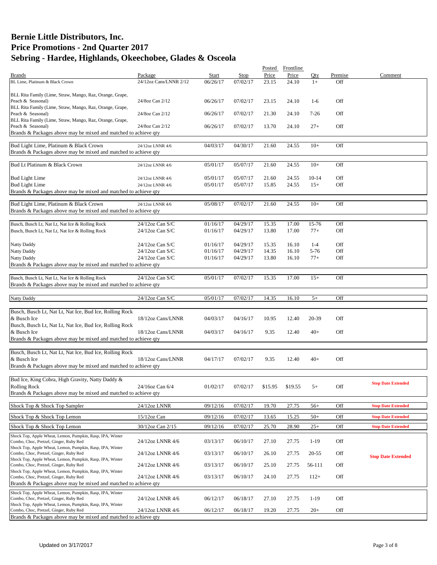|                                                                                                           |                                    |                      |                      | Posted         | Frontline      |                   |            |                           |
|-----------------------------------------------------------------------------------------------------------|------------------------------------|----------------------|----------------------|----------------|----------------|-------------------|------------|---------------------------|
| <b>Brands</b>                                                                                             | Package                            | <b>Start</b>         | Stop                 | Price          | Price          | Qty               | Premise    | Comment                   |
| BL Lime, Platinum & Black Crown                                                                           | 24/12oz Cans/LNNR 2/12             | 06/26/17             | 07/02/17             | 23.15          | 24.10          | $1+$              | Off        |                           |
| BLL Rita Family (Lime, Straw, Mango, Raz, Orange, Grape,                                                  |                                    |                      |                      |                |                |                   |            |                           |
| Peach & Seasonal)                                                                                         | 24/8oz Can 2/12                    | 06/26/17             | 07/02/17             | 23.15          | 24.10          | $1-6$             | Off        |                           |
| BLL Rita Family (Lime, Straw, Mango, Raz, Orange, Grape,                                                  |                                    |                      |                      |                |                |                   |            |                           |
| Peach & Seasonal)<br>BLL Rita Family (Lime, Straw, Mango, Raz, Orange, Grape,                             | 24/8oz Can 2/12                    | 06/26/17             | 07/02/17             | 21.30          | 24.10          | $7-26$            | Off        |                           |
| Peach & Seasonal)                                                                                         | 24/8oz Can 2/12                    | 06/26/17             | 07/02/17             | 13.70          | 24.10          | $27+$             | Off        |                           |
| Brands & Packages above may be mixed and matched to achieve qty                                           |                                    |                      |                      |                |                |                   |            |                           |
| Bud Light Lime, Platinum & Black Crown                                                                    | 24/12oz LNNR 4/6                   | 04/03/17             | 04/30/17             | 21.60          | 24.55          | $10+$             | Off        |                           |
| Brands & Packages above may be mixed and matched to achieve qty                                           |                                    |                      |                      |                |                |                   |            |                           |
|                                                                                                           |                                    |                      |                      |                |                |                   |            |                           |
| Bud Lt Platinum & Black Crown                                                                             | 24/12oz LNNR 4/6                   | 05/01/17             | 05/07/17             | 21.60          | 24.55          | $10+$             | Off        |                           |
| <b>Bud Light Lime</b>                                                                                     | 24/12oz LNNR 4/6                   | 05/01/17             | 05/07/17             | 21.60          | 24.55          | 10-14             | Off        |                           |
| <b>Bud Light Lime</b>                                                                                     | 24/12oz LNNR 4/6                   | 05/01/17             | 05/07/17             | 15.85          | 24.55          | $15+$             | Off        |                           |
| Brands & Packages above may be mixed and matched to achieve qty                                           |                                    |                      |                      |                |                |                   |            |                           |
|                                                                                                           |                                    |                      |                      |                |                |                   |            |                           |
| Bud Light Lime, Platinum & Black Crown<br>Brands & Packages above may be mixed and matched to achieve qty | 24/12oz LNNR 4/6                   | 05/08/17             | 07/02/17             | 21.60          | 24.55          | $10+$             | Off        |                           |
|                                                                                                           |                                    |                      |                      |                |                |                   |            |                           |
| Busch, Busch Lt, Nat Lt, Nat Ice & Rolling Rock                                                           | 24/12oz Can S/C                    | 01/16/17             | 04/29/17             | 15.35          | 17.00          | 15-76             | Off        |                           |
| Busch, Busch Lt, Nat Lt, Nat Ice & Rolling Rock                                                           | 24/12oz Can S/C                    | 01/16/17             | 04/29/17             | 13.80          | 17.00          | $77+$             | Off        |                           |
|                                                                                                           |                                    |                      |                      |                |                |                   |            |                           |
| Natty Daddy                                                                                               | 24/12oz Can S/C                    | 01/16/17             | 04/29/17             | 15.35          | 16.10          | $1 - 4$           | Off        |                           |
| <b>Natty Daddy</b><br>Natty Daddy                                                                         | 24/12oz Can S/C<br>24/12oz Can S/C | 01/16/17<br>01/16/17 | 04/29/17<br>04/29/17 | 14.35<br>13.80 | 16.10<br>16.10 | $5 - 76$<br>$77+$ | Off<br>Off |                           |
| Brands & Packages above may be mixed and matched to achieve qty                                           |                                    |                      |                      |                |                |                   |            |                           |
|                                                                                                           |                                    |                      |                      |                |                |                   |            |                           |
| Busch, Busch Lt, Nat Lt, Nat Ice & Rolling Rock                                                           | 24/12oz Can S/C                    | 05/01/17             | 07/02/17             | 15.35          | 17.00          | $15+$             | Off        |                           |
| Brands & Packages above may be mixed and matched to achieve qty                                           |                                    |                      |                      |                |                |                   |            |                           |
| <b>Natty Daddy</b>                                                                                        | 24/12oz Can S/C                    | 05/01/17             | 07/02/17             | 14.35          | 16.10          | $5+$              | Off        |                           |
|                                                                                                           |                                    |                      |                      |                |                |                   |            |                           |
| Busch, Busch Lt, Nat Lt, Nat Ice, Bud Ice, Rolling Rock                                                   |                                    |                      |                      |                |                |                   |            |                           |
| & Busch Ice                                                                                               | 18/12oz Cans/LNNR                  | 04/03/17             | 04/16/17             | 10.95          | 12.40          | 20-39             | Off        |                           |
| Busch, Busch Lt, Nat Lt, Nat Ice, Bud Ice, Rolling Rock                                                   |                                    |                      |                      |                |                |                   |            |                           |
| & Busch Ice<br>Brands & Packages above may be mixed and matched to achieve qty                            | 18/12oz Cans/LNNR                  | 04/03/17             | 04/16/17             | 9.35           | 12.40          | $40+$             | Off        |                           |
|                                                                                                           |                                    |                      |                      |                |                |                   |            |                           |
| Busch, Busch Lt, Nat Lt, Nat Ice, Bud Ice, Rolling Rock                                                   |                                    |                      |                      |                |                |                   |            |                           |
| & Busch Ice                                                                                               | 18/12oz Cans/LNNR                  | 04/17/17             | 07/02/17             | 9.35           | 12.40          | $40+$             | Off        |                           |
| Brands & Packages above may be mixed and matched to achieve gty                                           |                                    |                      |                      |                |                |                   |            |                           |
| Bud Ice, King Cobra, High Gravity, Natty Daddy &                                                          |                                    |                      |                      |                |                |                   |            |                           |
| <b>Rolling Rock</b>                                                                                       | 24/16oz Can 6/4                    | 01/02/17             | 07/02/17             | \$15.95        | \$19.55        | $5+$              | Off        | <b>Stop Date Extended</b> |
| Brands & Packages above may be mixed and matched to achieve qty                                           |                                    |                      |                      |                |                |                   |            |                           |
|                                                                                                           |                                    |                      |                      |                |                |                   |            |                           |
| Shock Top & Shock Top Sampler                                                                             | 24/12oz LNNR                       | 09/12/16             | 07/02/17             | 19.70          | 27.75          | $56+$             | Off        | <b>Stop Date Extended</b> |
| Shock Top & Shock Top Lemon                                                                               | 15/12oz Can                        | 09/12/16             | 07/02/17             | 13.65          | 15.25          | $50+$             | Off        | <b>Stop Date Extended</b> |
| Shock Top & Shock Top Lemon                                                                               | 30/12oz Can 2/15                   | 09/12/16             | 07/02/17             | 25.70          | 28.90          | $25+$             | Off        | <b>Stop Date Extended</b> |
| Shock Top, Apple Wheat, Lemon, Pumpkin, Rasp, IPA, Winter                                                 |                                    |                      |                      |                |                |                   |            |                           |
| Combo, Choc, Pretzel, Ginger, Ruby Red                                                                    | 24/12oz LNNR 4/6                   | 03/13/17             | 06/10/17             | 27.10          | 27.75          | $1-19$            | Off        |                           |
| Shock Top, Apple Wheat, Lemon, Pumpkin, Rasp, IPA, Winter<br>Combo, Choc, Pretzel, Ginger, Ruby Red       | 24/12oz LNNR 4/6                   | 03/13/17             | 06/10/17             | 26.10          | 27.75          | 20-55             | Off        |                           |
| Shock Top, Apple Wheat, Lemon, Pumpkin, Rasp, IPA, Winter                                                 |                                    |                      |                      |                |                |                   |            | <b>Stop Date Extended</b> |
| Combo, Choc, Pretzel, Ginger, Ruby Red                                                                    | 24/12oz LNNR 4/6                   | 03/13/17             | 06/10/17             | 25.10          | 27.75          | 56-111            | Off        |                           |
| Shock Top, Apple Wheat, Lemon, Pumpkin, Rasp, IPA, Winter<br>Combo, Choc, Pretzel, Ginger, Ruby Red       | 24/12oz LNNR 4/6                   | 03/13/17             | 06/10/17             | 24.10          | 27.75          | $112+$            | Off        |                           |
| Brands & Packages above may be mixed and matched to achieve qty                                           |                                    |                      |                      |                |                |                   |            |                           |
| Shock Top, Apple Wheat, Lemon, Pumpkin, Rasp, IPA, Winter                                                 |                                    |                      |                      |                |                |                   |            |                           |
| Combo, Choc, Pretzel, Ginger, Ruby Red                                                                    | 24/12oz LNNR 4/6                   | 06/12/17             | 06/18/17             | 27.10          | 27.75          | $1-19$            | Off        |                           |
| Shock Top, Apple Wheat, Lemon, Pumpkin, Rasp, IPA, Winter<br>Combo, Choc, Pretzel, Ginger, Ruby Red       | 24/12oz LNNR 4/6                   | 06/12/17             | 06/18/17             | 19.20          | 27.75          | $20+$             | Off        |                           |
| Brands & Packages above may be mixed and matched to achieve qty                                           |                                    |                      |                      |                |                |                   |            |                           |
|                                                                                                           |                                    |                      |                      |                |                |                   |            |                           |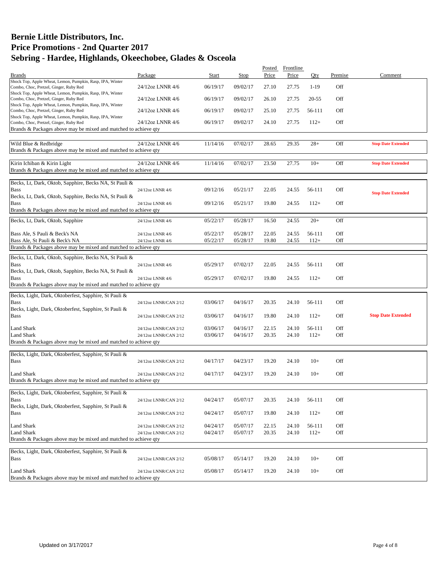|                                                                                                     |                       |          |          | Posted | Frontline |        |            |                           |
|-----------------------------------------------------------------------------------------------------|-----------------------|----------|----------|--------|-----------|--------|------------|---------------------------|
| <b>Brands</b>                                                                                       | Package               | Start    | Stop     | Price  | Price     | Otv    | Premise    | Comment                   |
| Shock Top, Apple Wheat, Lemon, Pumpkin, Rasp, IPA, Winter<br>Combo, Choc, Pretzel, Ginger, Ruby Red | 24/12oz LNNR 4/6      | 06/19/17 | 09/02/17 | 27.10  | 27.75     | $1-19$ | Off        |                           |
| Shock Top, Apple Wheat, Lemon, Pumpkin, Rasp, IPA, Winter<br>Combo, Choc, Pretzel, Ginger, Ruby Red | 24/12oz LNNR 4/6      | 06/19/17 | 09/02/17 | 26.10  | 27.75     | 20-55  | Off        |                           |
| Shock Top, Apple Wheat, Lemon, Pumpkin, Rasp, IPA, Winter<br>Combo, Choc, Pretzel, Ginger, Ruby Red | 24/12oz LNNR 4/6      | 06/19/17 | 09/02/17 | 25.10  | 27.75     | 56-111 | Off        |                           |
| Shock Top, Apple Wheat, Lemon, Pumpkin, Rasp, IPA, Winter<br>Combo, Choc, Pretzel, Ginger, Ruby Red | 24/12oz LNNR 4/6      | 06/19/17 | 09/02/17 | 24.10  | 27.75     | $112+$ | Off        |                           |
| Brands & Packages above may be mixed and matched to achieve qty                                     |                       |          |          |        |           |        |            |                           |
| Wild Blue & Redbridge<br>Brands & Packages above may be mixed and matched to achieve qty            | 24/12oz LNNR 4/6      | 11/14/16 | 07/02/17 | 28.65  | 29.35     | $28+$  | Off        | <b>Stop Date Extended</b> |
|                                                                                                     |                       |          |          |        |           |        |            |                           |
| Kirin Ichiban & Kirin Light<br>Brands & Packages above may be mixed and matched to achieve qty      | 24/12oz LNNR 4/6      | 11/14/16 | 07/02/17 | 23.50  | 27.75     | $10+$  | Off        | <b>Stop Date Extended</b> |
|                                                                                                     |                       |          |          |        |           |        |            |                           |
| Becks, Lt, Dark, Oktob, Sapphire, Becks NA, St Pauli &<br><b>Bass</b>                               | 24/12oz LNNR 4/6      | 09/12/16 | 05/21/17 | 22.05  | 24.55     | 56-111 | Off        | <b>Stop Date Extended</b> |
| Becks, Lt, Dark, Oktob, Sapphire, Becks NA, St Pauli &<br><b>Bass</b>                               | 24/12oz LNNR 4/6      | 09/12/16 | 05/21/17 | 19.80  | 24.55     | $112+$ | Off        |                           |
| Brands & Packages above may be mixed and matched to achieve qty                                     |                       |          |          |        |           |        |            |                           |
| Becks, Lt, Dark, Oktob, Sapphire                                                                    | 24/12oz LNNR 4/6      | 05/22/17 | 05/28/17 | 16.50  | 24.55     | $20+$  | Off        |                           |
| Bass Ale, S Pauli & Beck's NA<br>Bass Ale, St Pauli & Beck's NA                                     | 24/12oz LNNR 4/6      | 05/22/17 | 05/28/17 | 22.05  | 24.55     | 56-111 | Off<br>Off |                           |
| Brands & Packages above may be mixed and matched to achieve qty                                     | 24/12oz LNNR 4/6      | 05/22/17 | 05/28/17 | 19.80  | 24.55     | $112+$ |            |                           |
|                                                                                                     |                       |          |          |        |           |        |            |                           |
| Becks, Lt, Dark, Oktob, Sapphire, Becks NA, St Pauli &<br>Bass                                      | 24/12oz LNNR 4/6      | 05/29/17 | 07/02/17 | 22.05  | 24.55     | 56-111 | Off        |                           |
| Becks, Lt, Dark, Oktob, Sapphire, Becks NA, St Pauli &<br><b>Bass</b>                               | 24/12oz LNNR 4/6      | 05/29/17 | 07/02/17 | 19.80  | 24.55     | $112+$ | Off        |                           |
| Brands & Packages above may be mixed and matched to achieve qty                                     |                       |          |          |        |           |        |            |                           |
| Becks, Light, Dark, Oktoberfest, Sapphire, St Pauli &                                               |                       |          |          |        |           |        |            |                           |
| <b>Bass</b>                                                                                         | 24/12oz LNNR/CAN 2/12 | 03/06/17 | 04/16/17 | 20.35  | 24.10     | 56-111 | Off        |                           |
| Becks, Light, Dark, Oktoberfest, Sapphire, St Pauli &<br><b>Bass</b>                                | 24/12oz LNNR/CAN 2/12 | 03/06/17 | 04/16/17 | 19.80  | 24.10     | $112+$ | Off        | <b>Stop Date Extended</b> |
| Land Shark                                                                                          | 24/12oz LNNR/CAN 2/12 | 03/06/17 | 04/16/17 | 22.15  | 24.10     | 56-111 | Off        |                           |
| Land Shark<br>Brands & Packages above may be mixed and matched to achieve qty                       | 24/12oz LNNR/CAN 2/12 | 03/06/17 | 04/16/17 | 20.35  | 24.10     | $112+$ | Off        |                           |
|                                                                                                     |                       |          |          |        |           |        |            |                           |
| Becks, Light, Dark, Oktoberfest, Sapphire, St Pauli &<br><b>Bass</b>                                | 24/12oz LNNR/CAN 2/12 | 04/17/17 | 04/23/17 | 19.20  | 24.10     | $10+$  | Off        |                           |
| <b>Land Shark</b>                                                                                   | 24/12oz LNNR/CAN 2/12 | 04/17/17 | 04/23/17 | 19.20  | 24.10     | $10+$  | Off        |                           |
| Brands & Packages above may be mixed and matched to achieve qty                                     |                       |          |          |        |           |        |            |                           |
|                                                                                                     |                       |          |          |        |           |        |            |                           |
| Becks, Light, Dark, Oktoberfest, Sapphire, St Pauli &<br><b>Bass</b>                                | 24/12oz LNNR/CAN 2/12 | 04/24/17 | 05/07/17 | 20.35  | 24.10     | 56-111 | Off        |                           |
| Becks, Light, Dark, Oktoberfest, Sapphire, St Pauli &<br><b>Bass</b>                                | 24/12oz LNNR/CAN 2/12 | 04/24/17 | 05/07/17 | 19.80  | 24.10     | $112+$ | Off        |                           |
| <b>Land Shark</b>                                                                                   | 24/12oz LNNR/CAN 2/12 | 04/24/17 | 05/07/17 | 22.15  | 24.10     | 56-111 | Off        |                           |
| <b>Land Shark</b>                                                                                   | 24/12oz LNNR/CAN 2/12 | 04/24/17 | 05/07/17 | 20.35  | 24.10     | $112+$ | Off        |                           |
| Brands & Packages above may be mixed and matched to achieve qty                                     |                       |          |          |        |           |        |            |                           |
| Becks, Light, Dark, Oktoberfest, Sapphire, St Pauli &                                               |                       |          |          |        |           |        |            |                           |
| <b>Bass</b>                                                                                         | 24/12oz LNNR/CAN 2/12 | 05/08/17 | 05/14/17 | 19.20  | 24.10     | $10+$  | Off        |                           |
| Land Shark<br>Brands & Packages above may be mixed and matched to achieve qty                       | 24/12oz LNNR/CAN 2/12 | 05/08/17 | 05/14/17 | 19.20  | 24.10     | $10+$  | Off        |                           |
|                                                                                                     |                       |          |          |        |           |        |            |                           |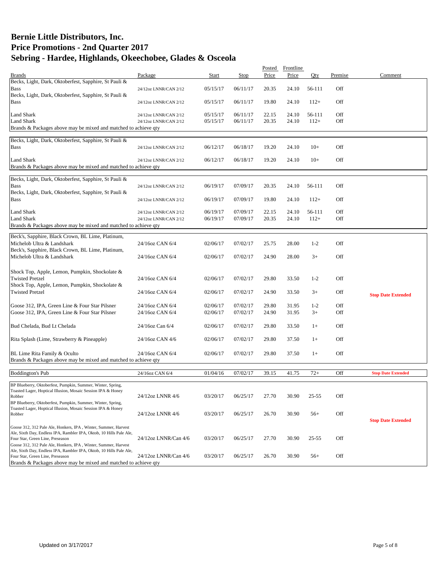|                                                                     |                           |          |          | Posted | Frontline |           |         |                           |
|---------------------------------------------------------------------|---------------------------|----------|----------|--------|-----------|-----------|---------|---------------------------|
| <b>Brands</b>                                                       | Package                   | Start    | Stop     | Price  | Price     | Oty       | Premise | Comment                   |
| Becks, Light, Dark, Oktoberfest, Sapphire, St Pauli &               |                           |          |          |        |           |           |         |                           |
| <b>Bass</b>                                                         | 24/12oz LNNR/CAN 2/12     | 05/15/17 | 06/11/17 | 20.35  | 24.10     | 56-111    | Off     |                           |
| Becks, Light, Dark, Oktoberfest, Sapphire, St Pauli &               |                           |          |          |        |           |           |         |                           |
| <b>Bass</b>                                                         | 24/12oz LNNR/CAN 2/12     | 05/15/17 | 06/11/17 | 19.80  | 24.10     | $112+$    | Off     |                           |
|                                                                     |                           |          |          |        |           |           |         |                           |
| <b>Land Shark</b>                                                   | 24/12oz LNNR/CAN 2/12     | 05/15/17 | 06/11/17 | 22.15  | 24.10     | 56-111    | Off     |                           |
| Land Shark                                                          | 24/12oz LNNR/CAN 2/12     | 05/15/17 | 06/11/17 | 20.35  | 24.10     | $112+$    | Off     |                           |
| Brands & Packages above may be mixed and matched to achieve qty     |                           |          |          |        |           |           |         |                           |
|                                                                     |                           |          |          |        |           |           |         |                           |
| Becks, Light, Dark, Oktoberfest, Sapphire, St Pauli &               |                           |          |          |        |           |           |         |                           |
|                                                                     |                           |          |          |        |           |           |         |                           |
| <b>Bass</b>                                                         | 24/12oz LNNR/CAN 2/12     | 06/12/17 | 06/18/17 | 19.20  | 24.10     | $10+$     | Off     |                           |
|                                                                     |                           |          |          |        |           |           |         |                           |
| Land Shark                                                          | 24/12oz LNNR/CAN 2/12     | 06/12/17 | 06/18/17 | 19.20  | 24.10     | $10+$     | Off     |                           |
| Brands & Packages above may be mixed and matched to achieve qty     |                           |          |          |        |           |           |         |                           |
|                                                                     |                           |          |          |        |           |           |         |                           |
| Becks, Light, Dark, Oktoberfest, Sapphire, St Pauli &               |                           |          |          |        |           |           |         |                           |
| <b>Bass</b>                                                         | 24/12oz LNNR/CAN 2/12     | 06/19/17 | 07/09/17 | 20.35  | 24.10     | 56-111    | Off     |                           |
| Becks, Light, Dark, Oktoberfest, Sapphire, St Pauli &               |                           |          |          |        |           |           |         |                           |
| <b>Bass</b>                                                         | 24/12oz LNNR/CAN 2/12     | 06/19/17 | 07/09/17 | 19.80  | 24.10     | $112+$    | Off     |                           |
|                                                                     |                           |          |          |        |           |           |         |                           |
| <b>Land Shark</b>                                                   | 24/12oz LNNR/CAN 2/12     | 06/19/17 | 07/09/17 | 22.15  | 24.10     | 56-111    | Off     |                           |
| <b>Land Shark</b>                                                   | 24/12oz LNNR/CAN 2/12     | 06/19/17 | 07/09/17 | 20.35  | 24.10     | $112+$    | Off     |                           |
| Brands & Packages above may be mixed and matched to achieve qty     |                           |          |          |        |           |           |         |                           |
|                                                                     |                           |          |          |        |           |           |         |                           |
| Beck's, Sapphire, Black Crown, BL Lime, Platinum,                   |                           |          |          |        |           |           |         |                           |
| Michelob Ultra & Landshark                                          | 24/16oz CAN 6/4           | 02/06/17 | 07/02/17 | 25.75  | 28.00     | $1 - 2$   | Off     |                           |
| Beck's, Sapphire, Black Crown, BL Lime, Platinum,                   |                           |          |          |        |           |           |         |                           |
| Michelob Ultra & Landshark                                          | 24/16oz CAN 6/4           | 02/06/17 | 07/02/17 | 24.90  | 28.00     | $3+$      | Off     |                           |
|                                                                     |                           |          |          |        |           |           |         |                           |
|                                                                     |                           |          |          |        |           |           |         |                           |
| Shock Top, Apple, Lemon, Pumpkin, Shockolate &                      |                           |          |          |        |           |           |         |                           |
| <b>Twisted Pretzel</b>                                              | 24/16oz CAN 6/4           | 02/06/17 | 07/02/17 | 29.80  | 33.50     | $1 - 2$   | Off     |                           |
| Shock Top, Apple, Lemon, Pumpkin, Shockolate &                      |                           |          |          |        |           |           |         |                           |
| <b>Twisted Pretzel</b>                                              | 24/16oz CAN 6/4           | 02/06/17 | 07/02/17 | 24.90  | 33.50     | $3+$      | Off     |                           |
|                                                                     |                           |          |          |        |           |           |         | <b>Stop Date Extended</b> |
| Goose 312, IPA, Green Line & Four Star Pilsner                      | 24/16oz CAN 6/4           | 02/06/17 | 07/02/17 | 29.80  | 31.95     | $1 - 2$   | Off     |                           |
| Goose 312, IPA, Green Line & Four Star Pilsner                      | 24/16oz CAN 6/4           | 02/06/17 | 07/02/17 | 24.90  | 31.95     | $3+$      | Off     |                           |
|                                                                     |                           |          |          |        |           |           |         |                           |
|                                                                     |                           |          |          |        |           |           |         |                           |
| Bud Chelada, Bud Lt Chelada                                         | 24/16oz Can 6/4           | 02/06/17 | 07/02/17 | 29.80  | 33.50     | $1+$      | Off     |                           |
|                                                                     |                           |          |          |        |           |           |         |                           |
| Rita Splash (Lime, Strawberry & Pineapple)                          | 24/16oz CAN 4/6           | 02/06/17 | 07/02/17 | 29.80  | 37.50     | $1+$      | Off     |                           |
|                                                                     |                           |          |          |        |           |           |         |                           |
| BL Lime Rita Family & Oculto                                        | 24/16oz CAN 6/4           | 02/06/17 | 07/02/17 | 29.80  | 37.50     | $1+$      | Off     |                           |
| Brands & Packages above may be mixed and matched to achieve qty     |                           |          |          |        |           |           |         |                           |
|                                                                     |                           |          |          |        |           |           |         |                           |
| <b>Boddington's Pub</b>                                             | 24/16oz CAN 6/4           | 01/04/16 | 07/02/17 | 39.15  | 41.75     | $72+$     | Off     | <b>Stop Date Extended</b> |
|                                                                     |                           |          |          |        |           |           |         |                           |
| BP Blueberry, Oktoberfest, Pumpkin, Summer, Winter, Spring,         |                           |          |          |        |           |           |         |                           |
| Toasted Lager, Hoptical Illusion, Mosaic Session IPA & Honey        |                           |          |          |        |           |           |         |                           |
| Robber                                                              | 24/12oz LNNR 4/6          | 03/20/17 | 06/25/17 | 27.70  | 30.90     | $25 - 55$ | Off     |                           |
| BP Blueberry, Oktoberfest, Pumpkin, Summer, Winter, Spring,         |                           |          |          |        |           |           |         |                           |
| Toasted Lager, Hoptical Illusion, Mosaic Session IPA & Honey        |                           |          |          |        |           |           |         |                           |
| Robber                                                              | 24/12oz LNNR 4/6          | 03/20/17 | 06/25/17 | 26.70  | 30.90     | $56+$     | Off     |                           |
|                                                                     |                           |          |          |        |           |           |         | <b>Stop Date Extended</b> |
| Goose 312, 312 Pale Ale, Honkers, IPA, Winter, Summer, Harvest      |                           |          |          |        |           |           |         |                           |
| Ale, Sixth Day, Endless IPA, Rambler IPA, Oktob, 10 Hills Pale Ale, |                           |          |          |        |           |           |         |                           |
| Four Star, Green Line, Preseason                                    | $24/12$ oz LNNR/Can $4/6$ | 03/20/17 | 06/25/17 | 27.70  | 30.90     | $25 - 55$ | Off     |                           |
| Goose 312, 312 Pale Ale, Honkers, IPA, Winter, Summer, Harvest      |                           |          |          |        |           |           |         |                           |
| Ale, Sixth Day, Endless IPA, Rambler IPA, Oktob, 10 Hills Pale Ale, |                           |          |          |        |           |           |         |                           |
| Four Star, Green Line, Preseason                                    | 24/12oz LNNR/Can 4/6      | 03/20/17 | 06/25/17 | 26.70  | 30.90     | $56+$     | Off     |                           |
| Brands & Packages above may be mixed and matched to achieve qty     |                           |          |          |        |           |           |         |                           |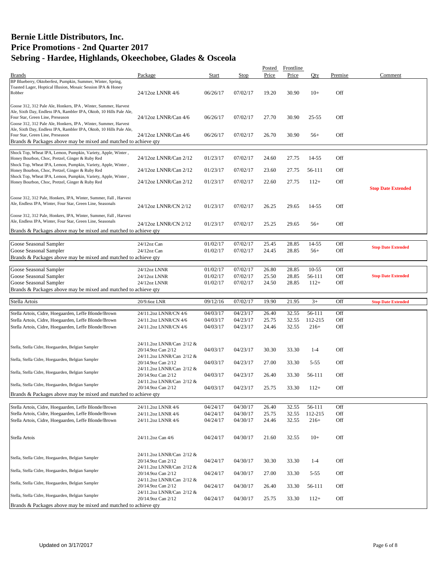|                                                                                                                  |                                                 |          |          | Posted | Frontline |           |         |                           |
|------------------------------------------------------------------------------------------------------------------|-------------------------------------------------|----------|----------|--------|-----------|-----------|---------|---------------------------|
| <b>Brands</b>                                                                                                    | Package                                         | Start    | Stop     | Price  | Price     | Oty       | Premise | Comment                   |
| BP Blueberry, Oktoberfest, Pumpkin, Summer, Winter, Spring,                                                      |                                                 |          |          |        |           |           |         |                           |
| Toasted Lager, Hoptical Illusion, Mosaic Session IPA & Honey<br>Robber                                           | 24/12oz LNNR 4/6                                | 06/26/17 | 07/02/17 | 19.20  | 30.90     | $10+$     | Off     |                           |
|                                                                                                                  |                                                 |          |          |        |           |           |         |                           |
| Goose 312, 312 Pale Ale, Honkers, IPA, Winter, Summer, Harvest                                                   |                                                 |          |          |        |           |           |         |                           |
| Ale, Sixth Day, Endless IPA, Rambler IPA, Oktob, 10 Hills Pale Ale,                                              |                                                 |          |          |        |           |           |         |                           |
| Four Star, Green Line, Preseason                                                                                 | 24/12oz LNNR/Can 4/6                            | 06/26/17 | 07/02/17 | 27.70  | 30.90     | $25 - 55$ | Off     |                           |
| Goose 312, 312 Pale Ale, Honkers, IPA, Winter, Summer, Harvest                                                   |                                                 |          |          |        |           |           |         |                           |
| Ale, Sixth Day, Endless IPA, Rambler IPA, Oktob, 10 Hills Pale Ale,                                              |                                                 |          |          |        |           |           |         |                           |
| Four Star, Green Line, Preseason                                                                                 | 24/12oz LNNR/Can 4/6                            | 06/26/17 | 07/02/17 | 26.70  | 30.90     | $56+$     | Off     |                           |
| Brands & Packages above may be mixed and matched to achieve qty                                                  |                                                 |          |          |        |           |           |         |                           |
|                                                                                                                  |                                                 |          |          |        |           |           |         |                           |
| Shock Top, Wheat IPA, Lemon, Pumpkin, Variety, Apple, Winter,<br>Honey Bourbon, Choc, Pretzel, Ginger & Ruby Red | 24/12oz LNNR/Can 2/12                           | 01/23/17 | 07/02/17 | 24.60  | 27.75     | 14-55     | Off     |                           |
| Shock Top, Wheat IPA, Lemon, Pumpkin, Variety, Apple, Winter,                                                    |                                                 |          |          |        |           |           |         |                           |
| Honey Bourbon, Choc, Pretzel, Ginger & Ruby Red                                                                  | 24/12oz LNNR/Can 2/12                           | 01/23/17 | 07/02/17 | 23.60  | 27.75     | 56-111    | Off     |                           |
| Shock Top, Wheat IPA, Lemon, Pumpkin, Variety, Apple, Winter,                                                    |                                                 |          |          |        |           |           |         |                           |
| Honey Bourbon, Choc, Pretzel, Ginger & Ruby Red                                                                  | 24/12oz LNNR/Can 2/12                           | 01/23/17 | 07/02/17 | 22.60  | 27.75     | $112+$    | Off     |                           |
|                                                                                                                  |                                                 |          |          |        |           |           |         | <b>Stop Date Extended</b> |
| Goose 312, 312 Pale, Honkers, IPA, Winter, Summer, Fall, Harvest                                                 |                                                 |          |          |        |           |           |         |                           |
| Ale, Endless IPA, Winter, Four Star, Green Line, Seasonals                                                       |                                                 |          |          |        |           |           |         |                           |
|                                                                                                                  | 24/12oz LNNR/CN 2/12                            | 01/23/17 | 07/02/17 | 26.25  | 29.65     | 14-55     | Off     |                           |
| Goose 312, 312 Pale, Honkers, IPA, Winter, Summer, Fall, Harvest                                                 |                                                 |          |          |        |           |           |         |                           |
| Ale, Endless IPA, Winter, Four Star, Green Line, Seasonals                                                       | 24/12oz LNNR/CN 2/12                            | 01/23/17 | 07/02/17 | 25.25  | 29.65     | $56+$     | Off     |                           |
| Brands & Packages above may be mixed and matched to achieve qty                                                  |                                                 |          |          |        |           |           |         |                           |
|                                                                                                                  |                                                 |          |          |        |           |           |         |                           |
| Goose Seasonal Sampler                                                                                           | 24/12oz Can                                     | 01/02/17 | 07/02/17 | 25.45  | 28.85     | 14-55     | Off     |                           |
| Goose Seasonal Sampler                                                                                           | 24/12oz Can                                     | 01/02/17 | 07/02/17 | 24.45  | 28.85     | $56+$     | Off     | <b>Stop Date Extended</b> |
| Brands & Packages above may be mixed and matched to achieve qty                                                  |                                                 |          |          |        |           |           |         |                           |
|                                                                                                                  |                                                 |          |          |        |           |           |         |                           |
| Goose Seasonal Sampler                                                                                           | 24/12oz LNNR                                    | 01/02/17 | 07/02/17 | 26.80  | 28.85     | $10-55$   | Off     |                           |
| Goose Seasonal Sampler                                                                                           | 24/12oz LNNR                                    | 01/02/17 | 07/02/17 | 25.50  | 28.85     | 56-111    | Off     | <b>Stop Date Extended</b> |
| Goose Seasonal Sampler                                                                                           | 24/12oz LNNR                                    | 01/02/17 | 07/02/17 | 24.50  | 28.85     | $112+$    | Off     |                           |
| Brands & Packages above may be mixed and matched to achieve qty                                                  |                                                 |          |          |        |           |           |         |                           |
|                                                                                                                  |                                                 |          |          |        |           |           |         |                           |
|                                                                                                                  |                                                 |          |          |        |           |           |         |                           |
| Stella Artois                                                                                                    | 20/9.6oz LNR                                    | 09/12/16 | 07/02/17 | 19.90  | 21.95     | $3+$      | Off     | <b>Stop Date Extended</b> |
|                                                                                                                  |                                                 |          |          |        |           |           |         |                           |
| Stella Artois, Cidre, Hoegaarden, Leffe Blonde/Brown                                                             | 24/11.2oz LNNR/CN 4/6                           | 04/03/17 | 04/23/17 | 26.40  | 32.55     | 56-111    | Off     |                           |
| Stella Artois, Cidre, Hoegaarden, Leffe Blonde/Brown                                                             | 24/11.2oz LNNR/CN 4/6                           | 04/03/17 | 04/23/17 | 25.75  | 32.55     | 112-215   | Off     |                           |
| Stella Artois, Cidre, Hoegaarden, Leffe Blonde/Brown                                                             | 24/11.2oz LNNR/CN 4/6                           | 04/03/17 | 04/23/17 | 24.46  | 32.55     | $216+$    | Off     |                           |
|                                                                                                                  |                                                 |          |          |        |           |           |         |                           |
|                                                                                                                  |                                                 |          |          |        |           |           |         |                           |
| Stella, Stella Cidre, Hoegaarden, Belgian Sampler                                                                | 24/11.2oz LNNR/Can 2/12 &                       |          |          |        |           |           |         |                           |
|                                                                                                                  | 20/14.9oz Can 2/12                              | 04/03/17 | 04/23/17 | 30.30  | 33.30     | $1 - 4$   | Off     |                           |
| Stella, Stella Cidre, Hoegaarden, Belgian Sampler                                                                | 24/11.2oz LNNR/Can 2/12 &                       |          |          |        |           |           |         |                           |
|                                                                                                                  | 20/14.9oz Can 2/12                              | 04/03/17 | 04/23/17 | 27.00  | 33.30     | $5 - 55$  | Off     |                           |
| Stella, Stella Cidre, Hoegaarden, Belgian Sampler                                                                | 24/11.2oz LNNR/Can 2/12 &                       | 04/03/17 | 04/23/17 | 26.40  |           | 56-111    | Off     |                           |
|                                                                                                                  | 20/14.9oz Can 2/12                              |          |          |        | 33.30     |           |         |                           |
| Stella, Stella Cidre, Hoegaarden, Belgian Sampler                                                                | 24/11.2oz LNNR/Can 2/12 &<br>20/14.9oz Can 2/12 |          |          |        | 33.30     | $112+$    | Off     |                           |
| Brands & Packages above may be mixed and matched to achieve qty                                                  |                                                 | 04/03/17 | 04/23/17 | 25.75  |           |           |         |                           |
|                                                                                                                  |                                                 |          |          |        |           |           |         |                           |
| Stella Artois, Cidre, Hoegaarden, Leffe Blonde/Brown                                                             | 24/11.2oz LNNR 4/6                              | 04/24/17 | 04/30/17 | 26.40  | 32.55     | 56-111    | Off     |                           |
| Stella Artois, Cidre, Hoegaarden, Leffe Blonde/Brown                                                             | 24/11.2oz LNNR 4/6                              | 04/24/17 | 04/30/17 | 25.75  | 32.55     | 112-215   | Off     |                           |
| Stella Artois, Cidre, Hoegaarden, Leffe Blonde/Brown                                                             | 24/11.2oz LNNR 4/6                              | 04/24/17 | 04/30/17 | 24.46  | 32.55     | $216+$    | Off     |                           |
|                                                                                                                  |                                                 |          |          |        |           |           |         |                           |
|                                                                                                                  |                                                 |          |          |        |           |           |         |                           |
| Stella Artois                                                                                                    | 24/11.2oz Can 4/6                               | 04/24/17 | 04/30/17 | 21.60  | 32.55     | $10+$     | Off     |                           |
|                                                                                                                  |                                                 |          |          |        |           |           |         |                           |
|                                                                                                                  |                                                 |          |          |        |           |           |         |                           |
| Stella, Stella Cidre, Hoegaarden, Belgian Sampler                                                                | 24/11.2oz LNNR/Can 2/12 &                       |          |          |        |           |           |         |                           |
|                                                                                                                  | 20/14.9oz Can 2/12                              | 04/24/17 | 04/30/17 | 30.30  | 33.30     | $1 - 4$   | Off     |                           |
| Stella, Stella Cidre, Hoegaarden, Belgian Sampler                                                                | 24/11.2oz LNNR/Can 2/12 &                       |          |          |        |           |           |         |                           |
|                                                                                                                  | 20/14.9oz Can 2/12                              | 04/24/17 | 04/30/17 | 27.00  | 33.30     | $5 - 55$  | Off     |                           |
| Stella, Stella Cidre, Hoegaarden, Belgian Sampler                                                                | 24/11.2oz LNNR/Can 2/12 &                       |          |          |        |           |           |         |                           |
|                                                                                                                  | 20/14.9oz Can 2/12<br>24/11.2oz LNNR/Can 2/12 & | 04/24/17 | 04/30/17 | 26.40  | 33.30     | 56-111    | Off     |                           |
| Stella, Stella Cidre, Hoegaarden, Belgian Sampler                                                                | 20/14.9oz Can 2/12                              | 04/24/17 | 04/30/17 |        |           | $112+$    | Off     |                           |
| Brands & Packages above may be mixed and matched to achieve qty                                                  |                                                 |          |          | 25.75  | 33.30     |           |         |                           |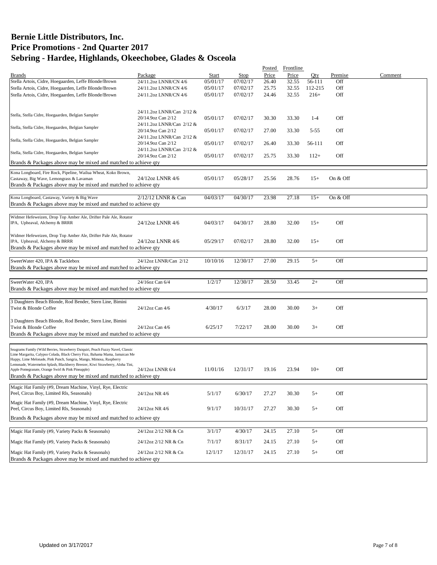|                                                                                                                                    |                           |          |          | Posted | Frontline |          |          |         |
|------------------------------------------------------------------------------------------------------------------------------------|---------------------------|----------|----------|--------|-----------|----------|----------|---------|
| <b>Brands</b>                                                                                                                      | Package                   | Start    | Stop     | Price  | Price     | Oty      | Premise  | Comment |
| Stella Artois, Cidre, Hoegaarden, Leffe Blonde/Brown                                                                               | 24/11.2oz LNNR/CN 4/6     | 05/01/17 | 07/02/17 | 26.40  | 32.55     | 56-111   | Off      |         |
| Stella Artois, Cidre, Hoegaarden, Leffe Blonde/Brown                                                                               | 24/11.2oz LNNR/CN 4/6     | 05/01/17 | 07/02/17 | 25.75  | 32.55     | 112-215  | Off      |         |
| Stella Artois, Cidre, Hoegaarden, Leffe Blonde/Brown                                                                               | 24/11.2oz LNNR/CN 4/6     | 05/01/17 | 07/02/17 | 24.46  | 32.55     | $216+$   | Off      |         |
|                                                                                                                                    |                           |          |          |        |           |          |          |         |
|                                                                                                                                    |                           |          |          |        |           |          |          |         |
| Stella, Stella Cidre, Hoegaarden, Belgian Sampler                                                                                  | 24/11.2oz LNNR/Can 2/12 & |          |          |        |           |          |          |         |
|                                                                                                                                    | 20/14.9oz Can 2/12        | 05/01/17 | 07/02/17 | 30.30  | 33.30     | $1 - 4$  | Off      |         |
| Stella, Stella Cidre, Hoegaarden, Belgian Sampler                                                                                  | 24/11.2oz LNNR/Can 2/12 & |          |          |        |           |          |          |         |
|                                                                                                                                    | 20/14.9oz Can 2/12        | 05/01/17 | 07/02/17 | 27.00  | 33.30     | $5 - 55$ | Off      |         |
| Stella, Stella Cidre, Hoegaarden, Belgian Sampler                                                                                  | 24/11.2oz LNNR/Can 2/12 & |          |          |        |           |          |          |         |
|                                                                                                                                    | 20/14.9oz Can 2/12        | 05/01/17 | 07/02/17 | 26.40  | 33.30     | 56-111   | Off      |         |
| Stella, Stella Cidre, Hoegaarden, Belgian Sampler                                                                                  | 24/11.2oz LNNR/Can 2/12 & |          |          |        |           |          |          |         |
|                                                                                                                                    | 20/14.9oz Can 2/12        | 05/01/17 | 07/02/17 | 25.75  | 33.30     | $112+$   | Off      |         |
| Brands & Packages above may be mixed and matched to achieve gty                                                                    |                           |          |          |        |           |          |          |         |
| Kona Longboard, Fire Rock, Pipeline, Wailua Wheat, Koko Brown,                                                                     |                           |          |          |        |           |          |          |         |
| Castaway, Big Wave, Lemongrass & Lavaman                                                                                           | 24/12oz LNNR 4/6          | 05/01/17 | 05/28/17 | 25.56  | 28.76     | $15+$    | On & Off |         |
| Brands & Packages above may be mixed and matched to achieve qty                                                                    |                           |          |          |        |           |          |          |         |
|                                                                                                                                    |                           |          |          |        |           |          |          |         |
| Kona Longboard, Castaway, Variety & Big Wave                                                                                       | 2/12/12 LNNR & Can        | 04/03/17 | 04/30/17 | 23.98  | 27.18     | $15+$    | On & Off |         |
| Brands & Packages above may be mixed and matched to achieve qty                                                                    |                           |          |          |        |           |          |          |         |
|                                                                                                                                    |                           |          |          |        |           |          |          |         |
| Widmer Hefeweizen, Drop Top Amber Ale, Drifter Pale Ale, Rotator                                                                   |                           |          |          |        |           |          |          |         |
| IPA, Upheaval, Alchemy & BRRR                                                                                                      | 24/12oz LNNR 4/6          | 04/03/17 | 04/30/17 | 28.80  | 32.00     | $15+$    | Off      |         |
|                                                                                                                                    |                           |          |          |        |           |          |          |         |
| Widmer Hefeweizen, Drop Top Amber Ale, Drifter Pale Ale, Rotator                                                                   |                           |          |          |        |           |          |          |         |
| IPA, Upheaval, Alchemy & BRRR                                                                                                      | 24/12oz LNNR 4/6          | 05/29/17 | 07/02/17 | 28.80  | 32.00     | $15+$    | Off      |         |
| Brands & Packages above may be mixed and matched to achieve gty                                                                    |                           |          |          |        |           |          |          |         |
|                                                                                                                                    |                           |          |          |        |           |          |          |         |
| SweetWater 420, IPA & Tacklebox                                                                                                    | 24/12oz LNNR/Can 2/12     | 10/10/16 | 12/30/17 | 27.00  | 29.15     | $5+$     | Off      |         |
| Brands & Packages above may be mixed and matched to achieve qty                                                                    |                           |          |          |        |           |          |          |         |
|                                                                                                                                    |                           |          |          |        |           |          |          |         |
|                                                                                                                                    |                           |          |          |        |           |          |          |         |
| SweetWater 420, IPA                                                                                                                | 24/16oz Can 6/4           | 1/2/17   | 12/30/17 | 28.50  | 33.45     | $2+$     | Off      |         |
| Brands & Packages above may be mixed and matched to achieve qty                                                                    |                           |          |          |        |           |          |          |         |
|                                                                                                                                    |                           |          |          |        |           |          |          |         |
| 3 Daughters Beach Blonde, Rod Bender, Stern Line, Bimini                                                                           |                           |          |          |        |           |          |          |         |
| Twist & Blonde Coffee                                                                                                              | 24/12oz Can 4/6           | 4/30/17  | 6/3/17   | 28.00  | 30.00     | $3+$     | Off      |         |
|                                                                                                                                    |                           |          |          |        |           |          |          |         |
| 3 Daughters Beach Blonde, Rod Bender, Stern Line, Bimini                                                                           |                           |          |          |        |           |          |          |         |
| Twist & Blonde Coffee                                                                                                              | 24/12oz Can 4/6           | 6/25/17  | 7/22/17  | 28.00  | 30.00     | $3+$     | Off      |         |
| Brands & Packages above may be mixed and matched to achieve qty                                                                    |                           |          |          |        |           |          |          |         |
|                                                                                                                                    |                           |          |          |        |           |          |          |         |
| Seagrams Family (Wild Berries, Strawberry Daiquiri, Peach Fuzzy Navel, Classic                                                     |                           |          |          |        |           |          |          |         |
| Lime Margarita, Calypso Colada, Black Cherry Fizz, Bahama Mama, Jamaican Me                                                        |                           |          |          |        |           |          |          |         |
| Happy, Lime Melonade, Pink Punch, Sangria, Mango, Mimosa, Raspberry                                                                |                           |          |          |        |           |          |          |         |
| Lemonade, Watermelon Splash, Blackberry Breezer, Kiwi Strawberry, Aloha Tini,<br>Apple Pomegranate, Orange Swirl & Pink Pineapple) | 24/12oz LNNR 6/4          | 11/01/16 | 12/31/17 | 19.16  | 23.94     | $10+$    | Off      |         |
| Brands & Packages above may be mixed and matched to achieve gty                                                                    |                           |          |          |        |           |          |          |         |
|                                                                                                                                    |                           |          |          |        |           |          |          |         |
| Magic Hat Family (#9, Dream Machine, Vinyl, Rye, Electric                                                                          |                           |          |          |        |           |          |          |         |
| Peel, Circus Boy, Limited Rls, Seasonals)                                                                                          | 24/12oz NR 4/6            | 5/1/17   | 6/30/17  | 27.27  | 30.30     | $5+$     | Off      |         |
|                                                                                                                                    |                           |          |          |        |           |          |          |         |
| Magic Hat Family (#9, Dream Machine, Vinyl, Rye, Electric                                                                          |                           |          |          |        |           |          |          |         |
| Peel, Circus Boy, Limited Rls, Seasonals)                                                                                          | 24/12oz NR 4/6            | 9/1/17   | 10/31/17 | 27.27  | 30.30     | $5+$     | Off      |         |
| Brands & Packages above may be mixed and matched to achieve qty                                                                    |                           |          |          |        |           |          |          |         |
|                                                                                                                                    |                           |          |          |        |           |          |          |         |
| Magic Hat Family (#9, Variety Packs & Seasonals)                                                                                   | 24/12oz 2/12 NR & Cn      | 3/1/17   | 4/30/17  | 24.15  | 27.10     | $5+$     | Off      |         |
|                                                                                                                                    |                           |          |          |        |           |          |          |         |
| Magic Hat Family (#9, Variety Packs & Seasonals)                                                                                   | 24/12oz 2/12 NR & Cn      | 7/1/17   | 8/31/17  | 24.15  | 27.10     | $5+$     | Off      |         |
|                                                                                                                                    |                           |          |          |        |           |          |          |         |
| Magic Hat Family (#9, Variety Packs & Seasonals)                                                                                   | 24/12oz 2/12 NR & Cn      | 12/1/17  | 12/31/17 | 24.15  | 27.10     | $5+$     | Off      |         |
| Brands & Packages above may be mixed and matched to achieve qty                                                                    |                           |          |          |        |           |          |          |         |